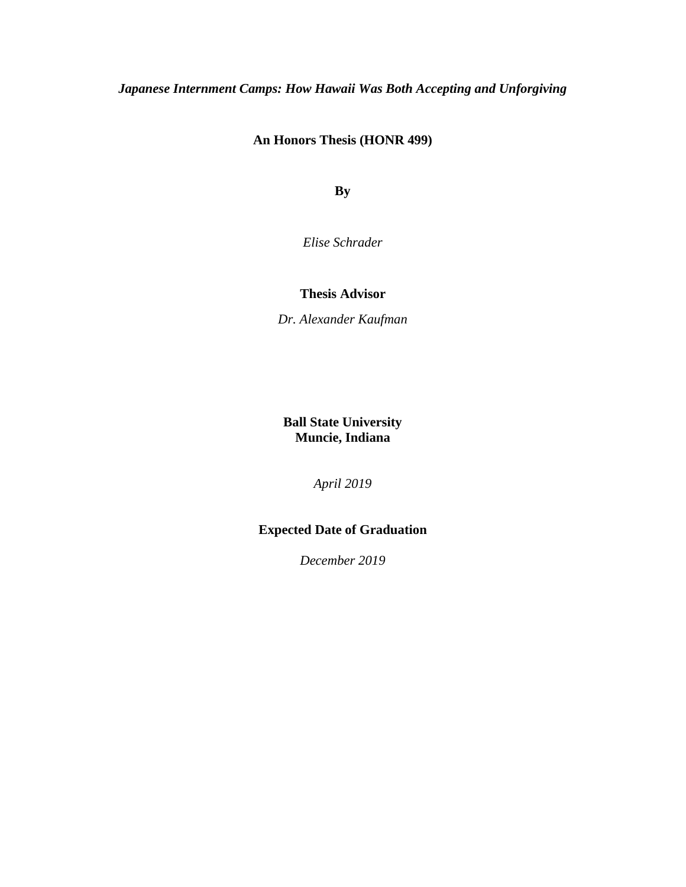# *Japanese Internment Camps: How Hawaii Was Both Accepting and Unforgiving*

### **An Honors Thesis (HONR 499)**

**By**

*Elise Schrader*

#### **Thesis Advisor**

*Dr. Alexander Kaufman*

**Ball State University Muncie, Indiana**

*April 2019*

## **Expected Date of Graduation**

*December 2019*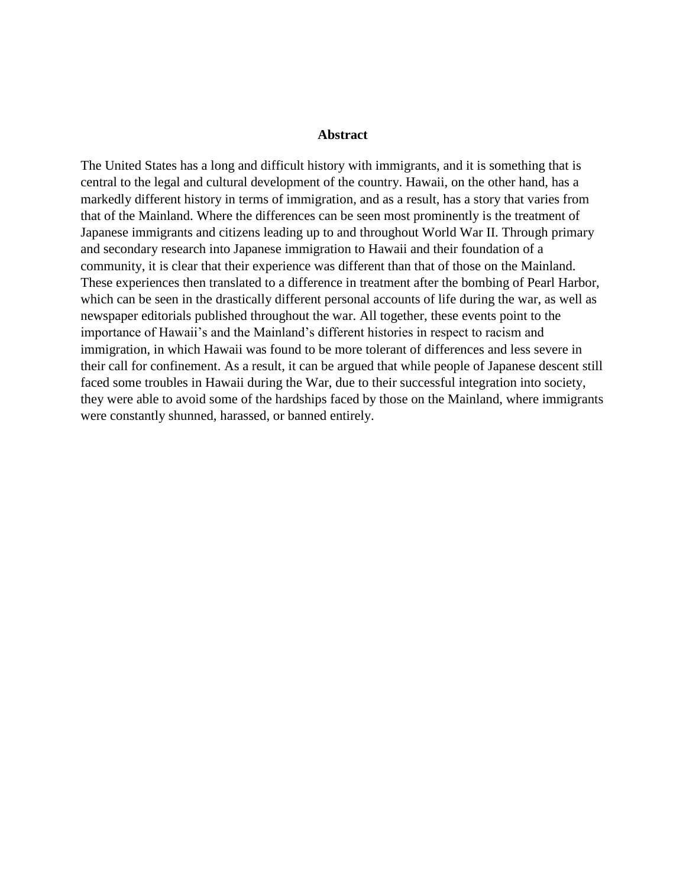#### **Abstract**

The United States has a long and difficult history with immigrants, and it is something that is central to the legal and cultural development of the country. Hawaii, on the other hand, has a markedly different history in terms of immigration, and as a result, has a story that varies from that of the Mainland. Where the differences can be seen most prominently is the treatment of Japanese immigrants and citizens leading up to and throughout World War II. Through primary and secondary research into Japanese immigration to Hawaii and their foundation of a community, it is clear that their experience was different than that of those on the Mainland. These experiences then translated to a difference in treatment after the bombing of Pearl Harbor, which can be seen in the drastically different personal accounts of life during the war, as well as newspaper editorials published throughout the war. All together, these events point to the importance of Hawaii's and the Mainland's different histories in respect to racism and immigration, in which Hawaii was found to be more tolerant of differences and less severe in their call for confinement. As a result, it can be argued that while people of Japanese descent still faced some troubles in Hawaii during the War, due to their successful integration into society, they were able to avoid some of the hardships faced by those on the Mainland, where immigrants were constantly shunned, harassed, or banned entirely.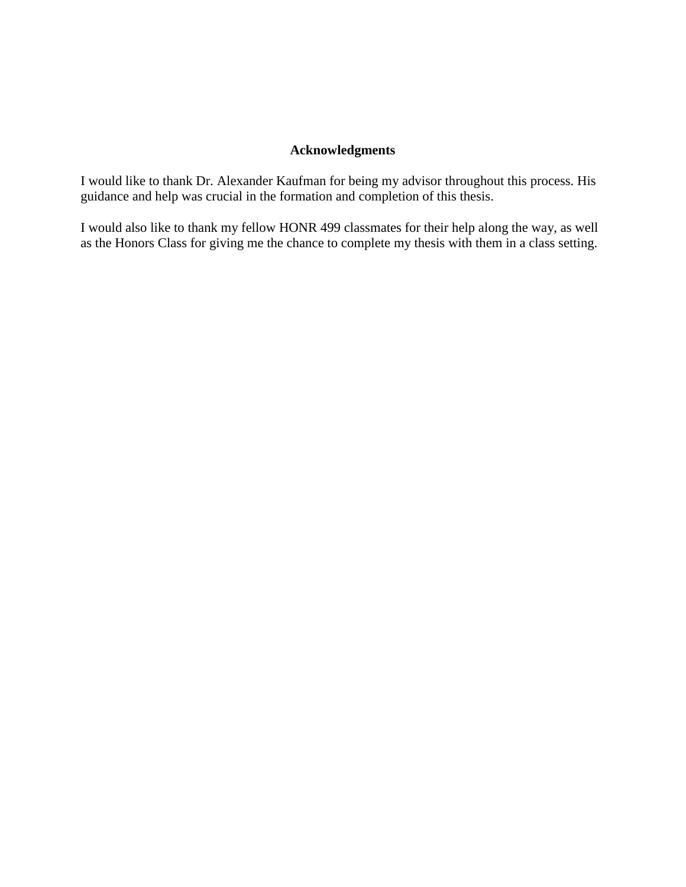# **Acknowledgments**

I would like to thank Dr. Alexander Kaufman for being my advisor throughout this process. His guidance and help was crucial in the formation and completion of this thesis.

I would also like to thank my fellow HONR 499 classmates for their help along the way, as well as the Honors Class for giving me the chance to complete my thesis with them in a class setting.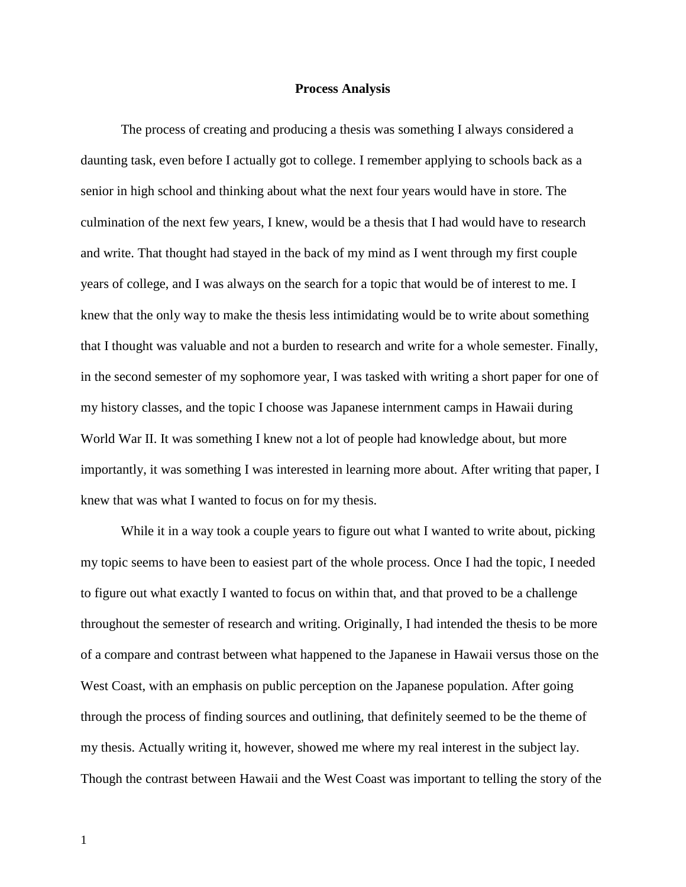#### **Process Analysis**

The process of creating and producing a thesis was something I always considered a daunting task, even before I actually got to college. I remember applying to schools back as a senior in high school and thinking about what the next four years would have in store. The culmination of the next few years, I knew, would be a thesis that I had would have to research and write. That thought had stayed in the back of my mind as I went through my first couple years of college, and I was always on the search for a topic that would be of interest to me. I knew that the only way to make the thesis less intimidating would be to write about something that I thought was valuable and not a burden to research and write for a whole semester. Finally, in the second semester of my sophomore year, I was tasked with writing a short paper for one of my history classes, and the topic I choose was Japanese internment camps in Hawaii during World War II. It was something I knew not a lot of people had knowledge about, but more importantly, it was something I was interested in learning more about. After writing that paper, I knew that was what I wanted to focus on for my thesis.

While it in a way took a couple years to figure out what I wanted to write about, picking my topic seems to have been to easiest part of the whole process. Once I had the topic, I needed to figure out what exactly I wanted to focus on within that, and that proved to be a challenge throughout the semester of research and writing. Originally, I had intended the thesis to be more of a compare and contrast between what happened to the Japanese in Hawaii versus those on the West Coast, with an emphasis on public perception on the Japanese population. After going through the process of finding sources and outlining, that definitely seemed to be the theme of my thesis. Actually writing it, however, showed me where my real interest in the subject lay. Though the contrast between Hawaii and the West Coast was important to telling the story of the

1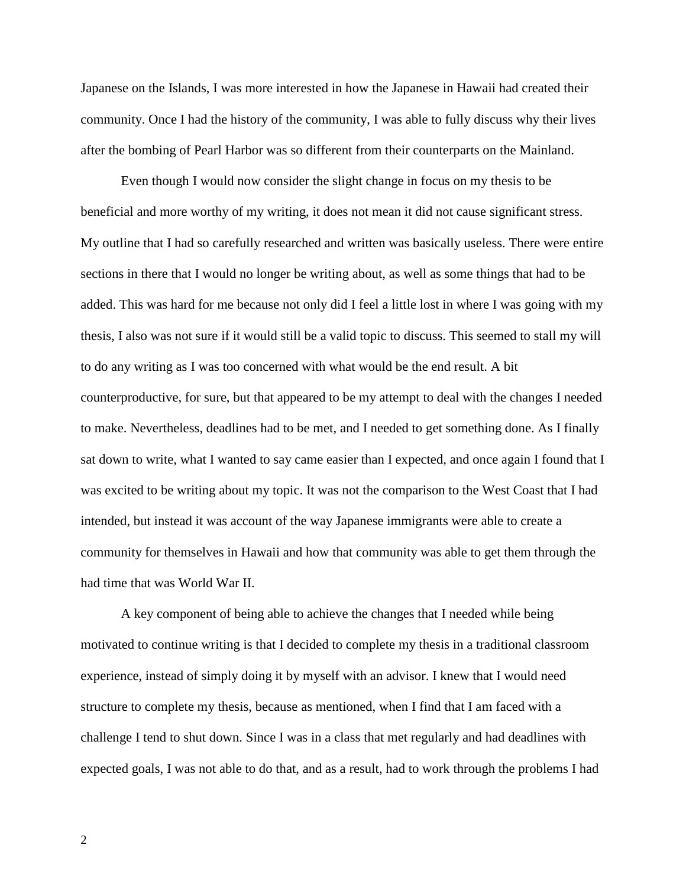Japanese on the Islands, I was more interested in how the Japanese in Hawaii had created their community. Once I had the history of the community, I was able to fully discuss why their lives after the bombing of Pearl Harbor was so different from their counterparts on the Mainland.

Even though I would now consider the slight change in focus on my thesis to be beneficial and more worthy of my writing, it does not mean it did not cause significant stress. My outline that I had so carefully researched and written was basically useless. There were entire sections in there that I would no longer be writing about, as well as some things that had to be added. This was hard for me because not only did I feel a little lost in where I was going with my thesis, I also was not sure if it would still be a valid topic to discuss. This seemed to stall my will to do any writing as I was too concerned with what would be the end result. A bit counterproductive, for sure, but that appeared to be my attempt to deal with the changes I needed to make. Nevertheless, deadlines had to be met, and I needed to get something done. As I finally sat down to write, what I wanted to say came easier than I expected, and once again I found that I was excited to be writing about my topic. It was not the comparison to the West Coast that I had intended, but instead it was account of the way Japanese immigrants were able to create a community for themselves in Hawaii and how that community was able to get them through the had time that was World War II.

A key component of being able to achieve the changes that I needed while being motivated to continue writing is that I decided to complete my thesis in a traditional classroom experience, instead of simply doing it by myself with an advisor. I knew that I would need structure to complete my thesis, because as mentioned, when I find that I am faced with a challenge I tend to shut down. Since I was in a class that met regularly and had deadlines with expected goals, I was not able to do that, and as a result, had to work through the problems I had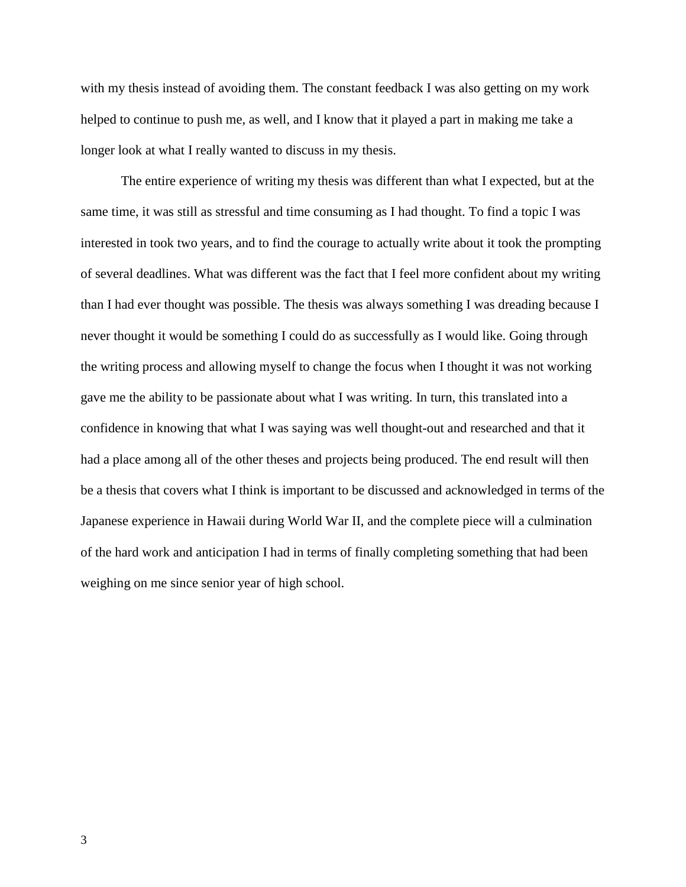with my thesis instead of avoiding them. The constant feedback I was also getting on my work helped to continue to push me, as well, and I know that it played a part in making me take a longer look at what I really wanted to discuss in my thesis.

The entire experience of writing my thesis was different than what I expected, but at the same time, it was still as stressful and time consuming as I had thought. To find a topic I was interested in took two years, and to find the courage to actually write about it took the prompting of several deadlines. What was different was the fact that I feel more confident about my writing than I had ever thought was possible. The thesis was always something I was dreading because I never thought it would be something I could do as successfully as I would like. Going through the writing process and allowing myself to change the focus when I thought it was not working gave me the ability to be passionate about what I was writing. In turn, this translated into a confidence in knowing that what I was saying was well thought-out and researched and that it had a place among all of the other theses and projects being produced. The end result will then be a thesis that covers what I think is important to be discussed and acknowledged in terms of the Japanese experience in Hawaii during World War II, and the complete piece will a culmination of the hard work and anticipation I had in terms of finally completing something that had been weighing on me since senior year of high school.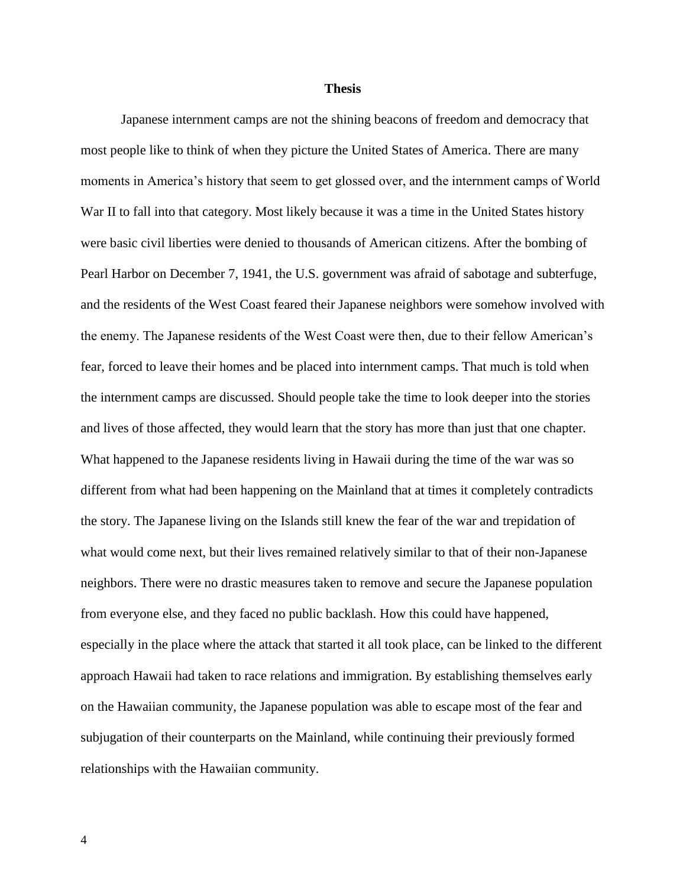#### **Thesis**

Japanese internment camps are not the shining beacons of freedom and democracy that most people like to think of when they picture the United States of America. There are many moments in America's history that seem to get glossed over, and the internment camps of World War II to fall into that category. Most likely because it was a time in the United States history were basic civil liberties were denied to thousands of American citizens. After the bombing of Pearl Harbor on December 7, 1941, the U.S. government was afraid of sabotage and subterfuge, and the residents of the West Coast feared their Japanese neighbors were somehow involved with the enemy. The Japanese residents of the West Coast were then, due to their fellow American's fear, forced to leave their homes and be placed into internment camps. That much is told when the internment camps are discussed. Should people take the time to look deeper into the stories and lives of those affected, they would learn that the story has more than just that one chapter. What happened to the Japanese residents living in Hawaii during the time of the war was so different from what had been happening on the Mainland that at times it completely contradicts the story. The Japanese living on the Islands still knew the fear of the war and trepidation of what would come next, but their lives remained relatively similar to that of their non-Japanese neighbors. There were no drastic measures taken to remove and secure the Japanese population from everyone else, and they faced no public backlash. How this could have happened, especially in the place where the attack that started it all took place, can be linked to the different approach Hawaii had taken to race relations and immigration. By establishing themselves early on the Hawaiian community, the Japanese population was able to escape most of the fear and subjugation of their counterparts on the Mainland, while continuing their previously formed relationships with the Hawaiian community.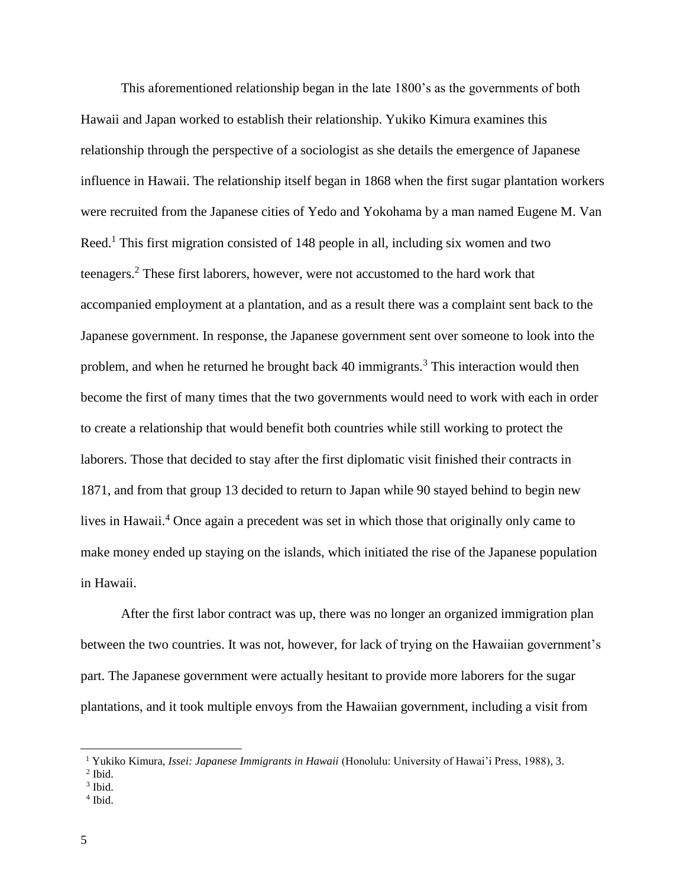This aforementioned relationship began in the late 1800's as the governments of both Hawaii and Japan worked to establish their relationship. Yukiko Kimura examines this relationship through the perspective of a sociologist as she details the emergence of Japanese influence in Hawaii. The relationship itself began in 1868 when the first sugar plantation workers were recruited from the Japanese cities of Yedo and Yokohama by a man named Eugene M. Van Reed.<sup>1</sup> This first migration consisted of 148 people in all, including six women and two teenagers.<sup>2</sup> These first laborers, however, were not accustomed to the hard work that accompanied employment at a plantation, and as a result there was a complaint sent back to the Japanese government. In response, the Japanese government sent over someone to look into the problem, and when he returned he brought back 40 immigrants.<sup>3</sup> This interaction would then become the first of many times that the two governments would need to work with each in order to create a relationship that would benefit both countries while still working to protect the laborers. Those that decided to stay after the first diplomatic visit finished their contracts in 1871, and from that group 13 decided to return to Japan while 90 stayed behind to begin new lives in Hawaii.<sup>4</sup> Once again a precedent was set in which those that originally only came to make money ended up staying on the islands, which initiated the rise of the Japanese population in Hawaii.

After the first labor contract was up, there was no longer an organized immigration plan between the two countries. It was not, however, for lack of trying on the Hawaiian government's part. The Japanese government were actually hesitant to provide more laborers for the sugar plantations, and it took multiple envoys from the Hawaiian government, including a visit from

4 Ibid.

<sup>1</sup> Yukiko Kimura, *Issei: Japanese Immigrants in Hawaii* (Honolulu: University of Hawai'i Press, 1988), 3.

<sup>2</sup> Ibid.

<sup>3</sup> Ibid.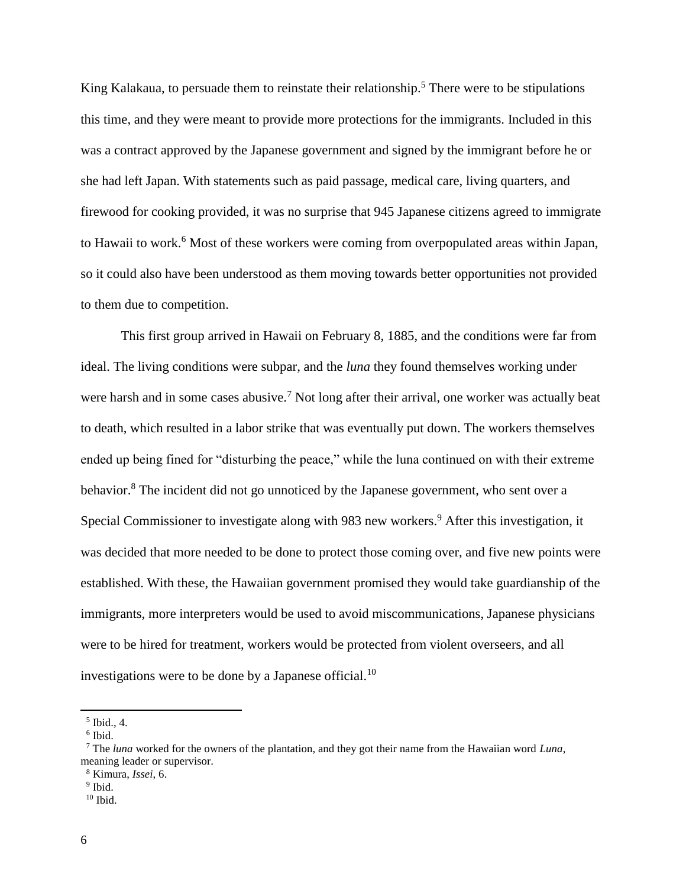King Kalakaua, to persuade them to reinstate their relationship.<sup>5</sup> There were to be stipulations this time, and they were meant to provide more protections for the immigrants. Included in this was a contract approved by the Japanese government and signed by the immigrant before he or she had left Japan. With statements such as paid passage, medical care, living quarters, and firewood for cooking provided, it was no surprise that 945 Japanese citizens agreed to immigrate to Hawaii to work.<sup>6</sup> Most of these workers were coming from overpopulated areas within Japan, so it could also have been understood as them moving towards better opportunities not provided to them due to competition.

This first group arrived in Hawaii on February 8, 1885, and the conditions were far from ideal. The living conditions were subpar, and the *luna* they found themselves working under were harsh and in some cases abusive.<sup>7</sup> Not long after their arrival, one worker was actually beat to death, which resulted in a labor strike that was eventually put down. The workers themselves ended up being fined for "disturbing the peace," while the luna continued on with their extreme behavior.<sup>8</sup> The incident did not go unnoticed by the Japanese government, who sent over a Special Commissioner to investigate along with 983 new workers.<sup>9</sup> After this investigation, it was decided that more needed to be done to protect those coming over, and five new points were established. With these, the Hawaiian government promised they would take guardianship of the immigrants, more interpreters would be used to avoid miscommunications, Japanese physicians were to be hired for treatment, workers would be protected from violent overseers, and all investigations were to be done by a Japanese official.<sup>10</sup>

 $<sup>5</sup>$  Ibid., 4.</sup>

<sup>6</sup> Ibid.

<sup>7</sup> The *luna* worked for the owners of the plantation, and they got their name from the Hawaiian word *Luna*, meaning leader or supervisor.

<sup>8</sup> Kimura, *Issei*, 6.

<sup>&</sup>lt;sup>9</sup> Ibid.

 $10$  Ibid.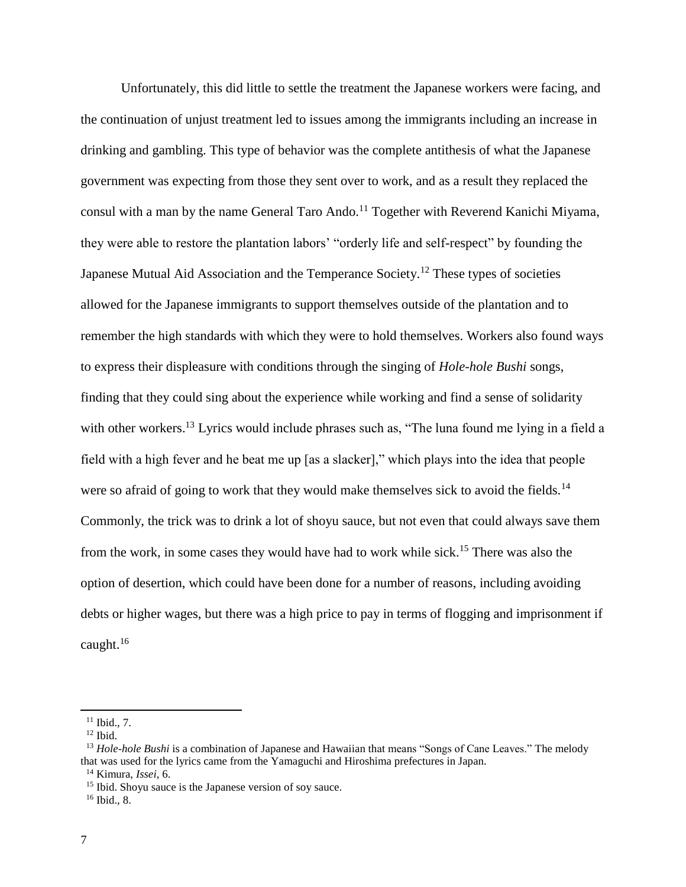Unfortunately, this did little to settle the treatment the Japanese workers were facing, and the continuation of unjust treatment led to issues among the immigrants including an increase in drinking and gambling. This type of behavior was the complete antithesis of what the Japanese government was expecting from those they sent over to work, and as a result they replaced the consul with a man by the name General Taro Ando.<sup>11</sup> Together with Reverend Kanichi Miyama, they were able to restore the plantation labors' "orderly life and self-respect" by founding the Japanese Mutual Aid Association and the Temperance Society.<sup>12</sup> These types of societies allowed for the Japanese immigrants to support themselves outside of the plantation and to remember the high standards with which they were to hold themselves. Workers also found ways to express their displeasure with conditions through the singing of *Hole-hole Bushi* songs, finding that they could sing about the experience while working and find a sense of solidarity with other workers.<sup>13</sup> Lyrics would include phrases such as, "The luna found me lying in a field a field with a high fever and he beat me up [as a slacker]," which plays into the idea that people were so afraid of going to work that they would make themselves sick to avoid the fields.<sup>14</sup> Commonly, the trick was to drink a lot of shoyu sauce, but not even that could always save them from the work, in some cases they would have had to work while sick.<sup>15</sup> There was also the option of desertion, which could have been done for a number of reasons, including avoiding debts or higher wages, but there was a high price to pay in terms of flogging and imprisonment if caught. $16$ 

 $11$  Ibid., 7.

 $12$  Ibid.

<sup>&</sup>lt;sup>13</sup> *Hole-hole Bushi* is a combination of Japanese and Hawaiian that means "Songs of Cane Leaves." The melody that was used for the lyrics came from the Yamaguchi and Hiroshima prefectures in Japan.

<sup>14</sup> Kimura, *Issei*, 6.

<sup>&</sup>lt;sup>15</sup> Ibid. Shoyu sauce is the Japanese version of soy sauce.

 $16$  Ibid., 8.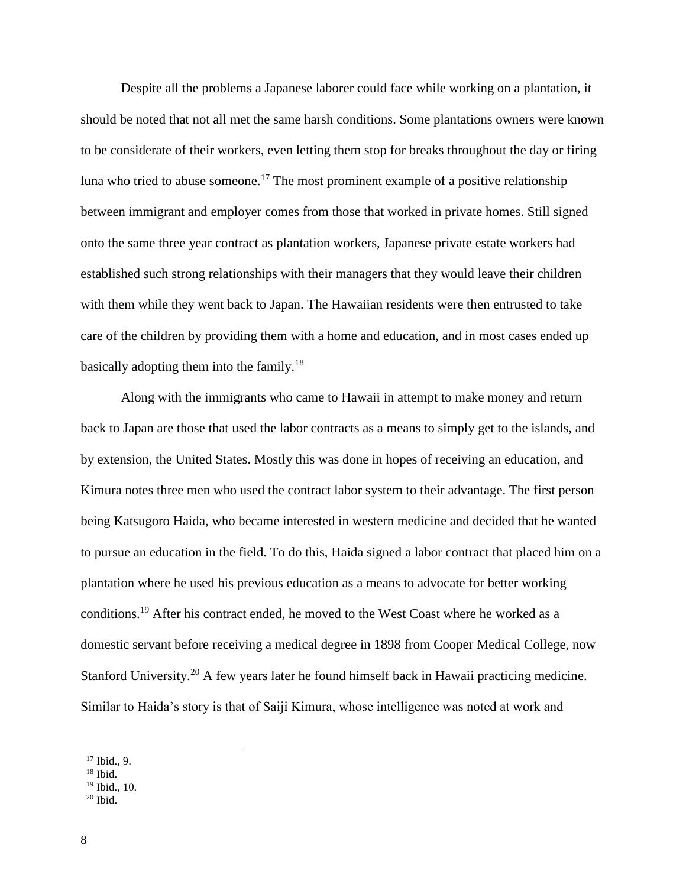Despite all the problems a Japanese laborer could face while working on a plantation, it should be noted that not all met the same harsh conditions. Some plantations owners were known to be considerate of their workers, even letting them stop for breaks throughout the day or firing luna who tried to abuse someone.<sup>17</sup> The most prominent example of a positive relationship between immigrant and employer comes from those that worked in private homes. Still signed onto the same three year contract as plantation workers, Japanese private estate workers had established such strong relationships with their managers that they would leave their children with them while they went back to Japan. The Hawaiian residents were then entrusted to take care of the children by providing them with a home and education, and in most cases ended up basically adopting them into the family.<sup>18</sup>

Along with the immigrants who came to Hawaii in attempt to make money and return back to Japan are those that used the labor contracts as a means to simply get to the islands, and by extension, the United States. Mostly this was done in hopes of receiving an education, and Kimura notes three men who used the contract labor system to their advantage. The first person being Katsugoro Haida, who became interested in western medicine and decided that he wanted to pursue an education in the field. To do this, Haida signed a labor contract that placed him on a plantation where he used his previous education as a means to advocate for better working conditions.<sup>19</sup> After his contract ended, he moved to the West Coast where he worked as a domestic servant before receiving a medical degree in 1898 from Cooper Medical College, now Stanford University.<sup>20</sup> A few years later he found himself back in Hawaii practicing medicine. Similar to Haida's story is that of Saiji Kimura, whose intelligence was noted at work and

 $17$  Ibid., 9.

 $18$  Ibid.

<sup>19</sup> Ibid., 10.

 $20$  Ibid.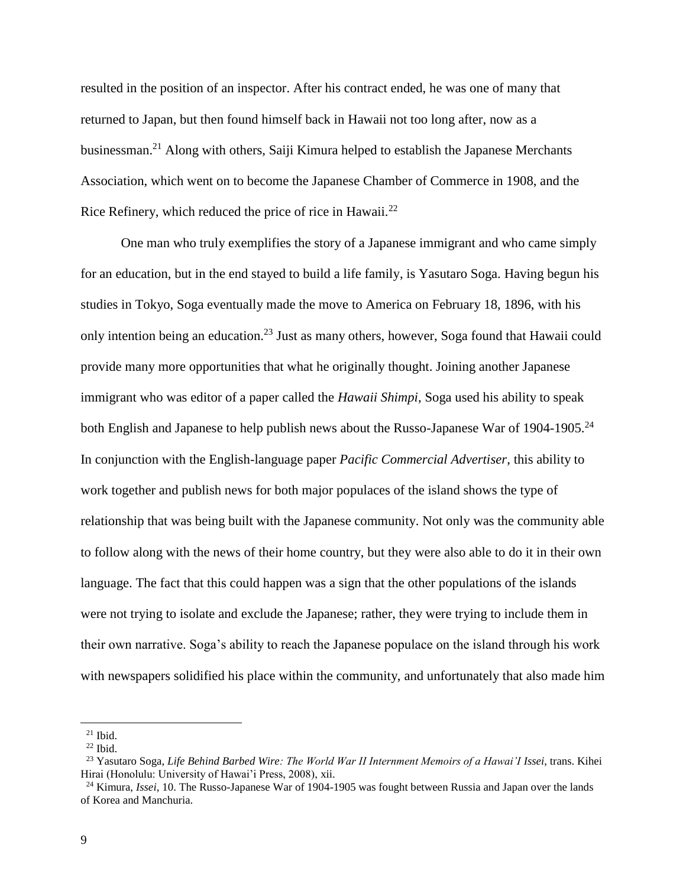resulted in the position of an inspector. After his contract ended, he was one of many that returned to Japan, but then found himself back in Hawaii not too long after, now as a businessman.<sup>21</sup> Along with others, Saiji Kimura helped to establish the Japanese Merchants Association, which went on to become the Japanese Chamber of Commerce in 1908, and the Rice Refinery, which reduced the price of rice in Hawaii. $^{22}$ 

One man who truly exemplifies the story of a Japanese immigrant and who came simply for an education, but in the end stayed to build a life family, is Yasutaro Soga. Having begun his studies in Tokyo, Soga eventually made the move to America on February 18, 1896, with his only intention being an education.<sup>23</sup> Just as many others, however, Soga found that Hawaii could provide many more opportunities that what he originally thought. Joining another Japanese immigrant who was editor of a paper called the *Hawaii Shimpi*, Soga used his ability to speak both English and Japanese to help publish news about the Russo-Japanese War of 1904-1905.<sup>24</sup> In conjunction with the English-language paper *Pacific Commercial Advertiser*, this ability to work together and publish news for both major populaces of the island shows the type of relationship that was being built with the Japanese community. Not only was the community able to follow along with the news of their home country, but they were also able to do it in their own language. The fact that this could happen was a sign that the other populations of the islands were not trying to isolate and exclude the Japanese; rather, they were trying to include them in their own narrative. Soga's ability to reach the Japanese populace on the island through his work with newspapers solidified his place within the community, and unfortunately that also made him

l

 $21$  Ibid.

 $22$  Ibid.

<sup>23</sup> Yasutaro Soga, *Life Behind Barbed Wire: The World War II Internment Memoirs of a Hawai'I Issei*, trans. Kihei Hirai (Honolulu: University of Hawai'i Press, 2008), xii.

<sup>24</sup> Kimura, *Issei*, 10. The Russo-Japanese War of 1904-1905 was fought between Russia and Japan over the lands of Korea and Manchuria.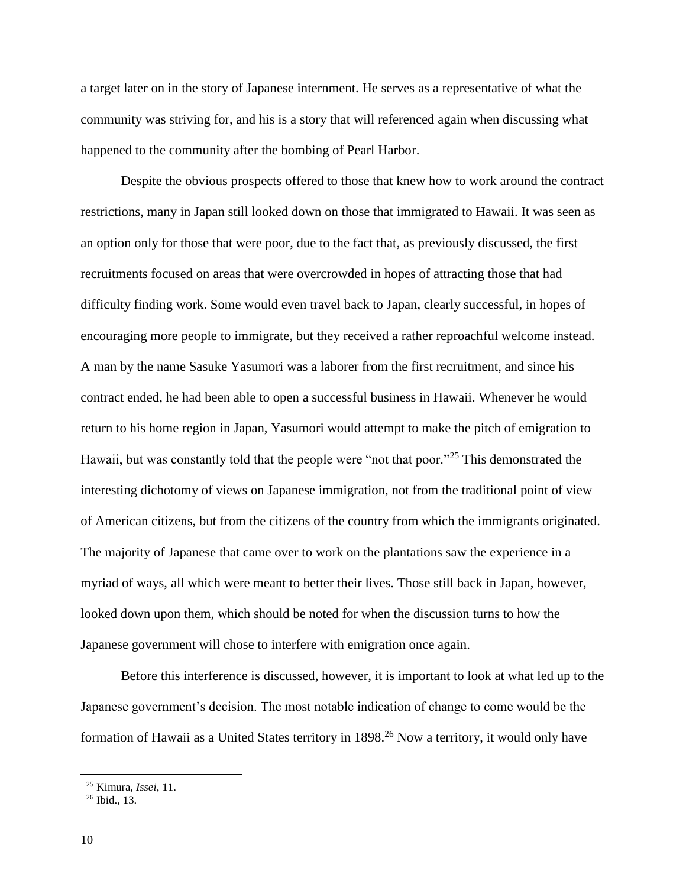a target later on in the story of Japanese internment. He serves as a representative of what the community was striving for, and his is a story that will referenced again when discussing what happened to the community after the bombing of Pearl Harbor.

Despite the obvious prospects offered to those that knew how to work around the contract restrictions, many in Japan still looked down on those that immigrated to Hawaii. It was seen as an option only for those that were poor, due to the fact that, as previously discussed, the first recruitments focused on areas that were overcrowded in hopes of attracting those that had difficulty finding work. Some would even travel back to Japan, clearly successful, in hopes of encouraging more people to immigrate, but they received a rather reproachful welcome instead. A man by the name Sasuke Yasumori was a laborer from the first recruitment, and since his contract ended, he had been able to open a successful business in Hawaii. Whenever he would return to his home region in Japan, Yasumori would attempt to make the pitch of emigration to Hawaii, but was constantly told that the people were "not that poor."<sup>25</sup> This demonstrated the interesting dichotomy of views on Japanese immigration, not from the traditional point of view of American citizens, but from the citizens of the country from which the immigrants originated. The majority of Japanese that came over to work on the plantations saw the experience in a myriad of ways, all which were meant to better their lives. Those still back in Japan, however, looked down upon them, which should be noted for when the discussion turns to how the Japanese government will chose to interfere with emigration once again.

Before this interference is discussed, however, it is important to look at what led up to the Japanese government's decision. The most notable indication of change to come would be the formation of Hawaii as a United States territory in 1898.<sup>26</sup> Now a territory, it would only have

<sup>25</sup> Kimura, *Issei*, 11.

<sup>26</sup> Ibid., 13.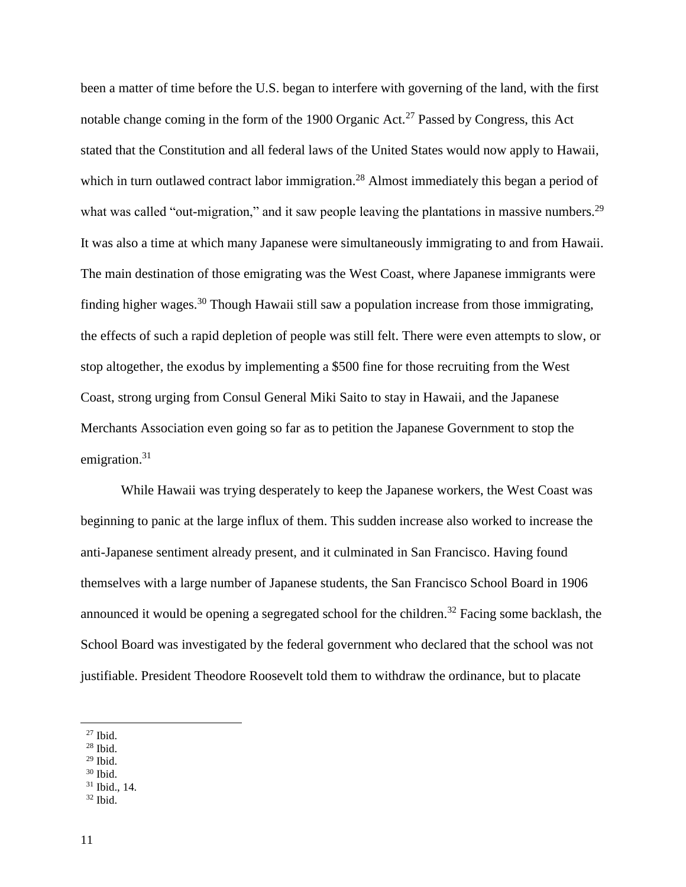been a matter of time before the U.S. began to interfere with governing of the land, with the first notable change coming in the form of the 1900 Organic Act.<sup>27</sup> Passed by Congress, this Act stated that the Constitution and all federal laws of the United States would now apply to Hawaii, which in turn outlawed contract labor immigration.<sup>28</sup> Almost immediately this began a period of what was called "out-migration," and it saw people leaving the plantations in massive numbers.<sup>29</sup> It was also a time at which many Japanese were simultaneously immigrating to and from Hawaii. The main destination of those emigrating was the West Coast, where Japanese immigrants were finding higher wages.<sup>30</sup> Though Hawaii still saw a population increase from those immigrating, the effects of such a rapid depletion of people was still felt. There were even attempts to slow, or stop altogether, the exodus by implementing a \$500 fine for those recruiting from the West Coast, strong urging from Consul General Miki Saito to stay in Hawaii, and the Japanese Merchants Association even going so far as to petition the Japanese Government to stop the emigration.<sup>31</sup>

While Hawaii was trying desperately to keep the Japanese workers, the West Coast was beginning to panic at the large influx of them. This sudden increase also worked to increase the anti-Japanese sentiment already present, and it culminated in San Francisco. Having found themselves with a large number of Japanese students, the San Francisco School Board in 1906 announced it would be opening a segregated school for the children.<sup>32</sup> Facing some backlash, the School Board was investigated by the federal government who declared that the school was not justifiable. President Theodore Roosevelt told them to withdraw the ordinance, but to placate

l

- <sup>28</sup> Ibid.
- $29$  Ibid.

<sup>31</sup> Ibid., 14.

 $27$  Ibid.

<sup>30</sup> Ibid.

 $32$  Ibid.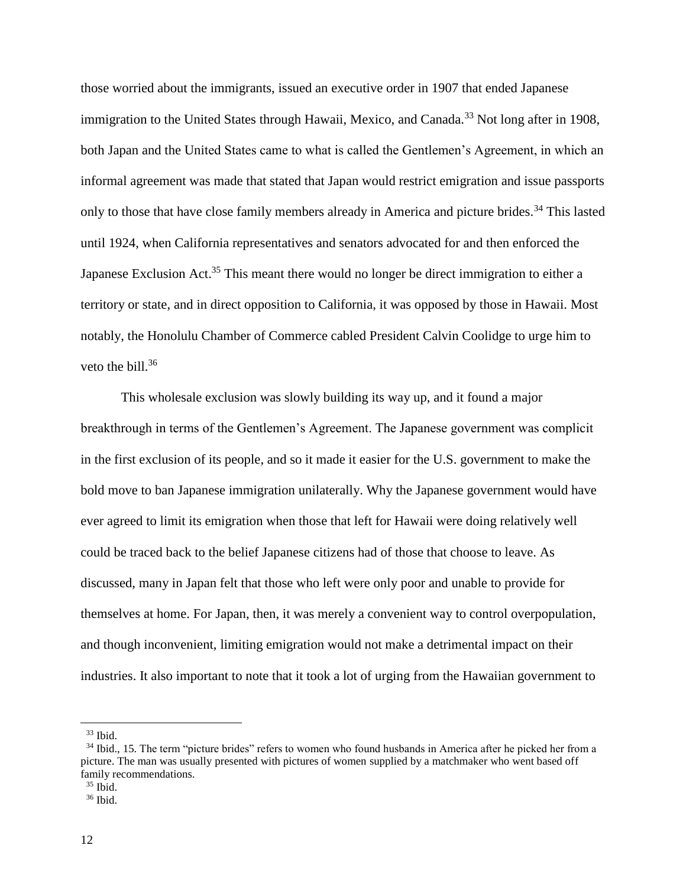those worried about the immigrants, issued an executive order in 1907 that ended Japanese immigration to the United States through Hawaii, Mexico, and Canada.<sup>33</sup> Not long after in 1908, both Japan and the United States came to what is called the Gentlemen's Agreement, in which an informal agreement was made that stated that Japan would restrict emigration and issue passports only to those that have close family members already in America and picture brides.<sup>34</sup> This lasted until 1924, when California representatives and senators advocated for and then enforced the Japanese Exclusion Act.<sup>35</sup> This meant there would no longer be direct immigration to either a territory or state, and in direct opposition to California, it was opposed by those in Hawaii. Most notably, the Honolulu Chamber of Commerce cabled President Calvin Coolidge to urge him to veto the bill. $36$ 

This wholesale exclusion was slowly building its way up, and it found a major breakthrough in terms of the Gentlemen's Agreement. The Japanese government was complicit in the first exclusion of its people, and so it made it easier for the U.S. government to make the bold move to ban Japanese immigration unilaterally. Why the Japanese government would have ever agreed to limit its emigration when those that left for Hawaii were doing relatively well could be traced back to the belief Japanese citizens had of those that choose to leave. As discussed, many in Japan felt that those who left were only poor and unable to provide for themselves at home. For Japan, then, it was merely a convenient way to control overpopulation, and though inconvenient, limiting emigration would not make a detrimental impact on their industries. It also important to note that it took a lot of urging from the Hawaiian government to

l

 $35$  Ibid.

<sup>33</sup> Ibid.

<sup>&</sup>lt;sup>34</sup> Ibid., 15. The term "picture brides" refers to women who found husbands in America after he picked her from a picture. The man was usually presented with pictures of women supplied by a matchmaker who went based off family recommendations.

 $36$  Ibid.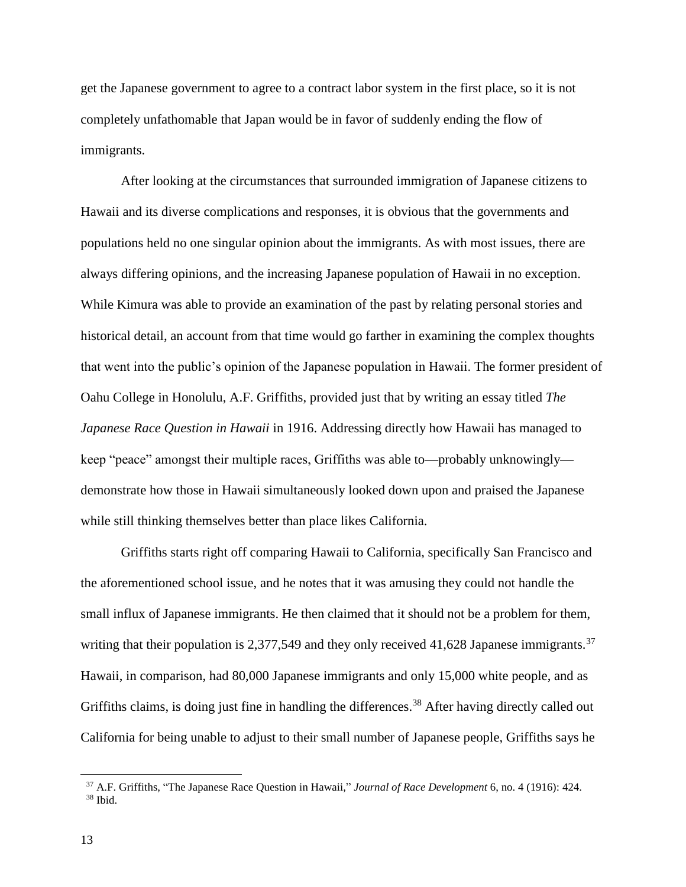get the Japanese government to agree to a contract labor system in the first place, so it is not completely unfathomable that Japan would be in favor of suddenly ending the flow of immigrants.

After looking at the circumstances that surrounded immigration of Japanese citizens to Hawaii and its diverse complications and responses, it is obvious that the governments and populations held no one singular opinion about the immigrants. As with most issues, there are always differing opinions, and the increasing Japanese population of Hawaii in no exception. While Kimura was able to provide an examination of the past by relating personal stories and historical detail, an account from that time would go farther in examining the complex thoughts that went into the public's opinion of the Japanese population in Hawaii. The former president of Oahu College in Honolulu, A.F. Griffiths, provided just that by writing an essay titled *The Japanese Race Question in Hawaii* in 1916. Addressing directly how Hawaii has managed to keep "peace" amongst their multiple races, Griffiths was able to—probably unknowingly demonstrate how those in Hawaii simultaneously looked down upon and praised the Japanese while still thinking themselves better than place likes California.

Griffiths starts right off comparing Hawaii to California, specifically San Francisco and the aforementioned school issue, and he notes that it was amusing they could not handle the small influx of Japanese immigrants. He then claimed that it should not be a problem for them, writing that their population is 2,377,549 and they only received 41,628 Japanese immigrants.<sup>37</sup> Hawaii, in comparison, had 80,000 Japanese immigrants and only 15,000 white people, and as Griffiths claims, is doing just fine in handling the differences.<sup>38</sup> After having directly called out California for being unable to adjust to their small number of Japanese people, Griffiths says he

<sup>37</sup> A.F. Griffiths, "The Japanese Race Question in Hawaii," *Journal of Race Development* 6, no. 4 (1916): 424.  $38$  Ibid.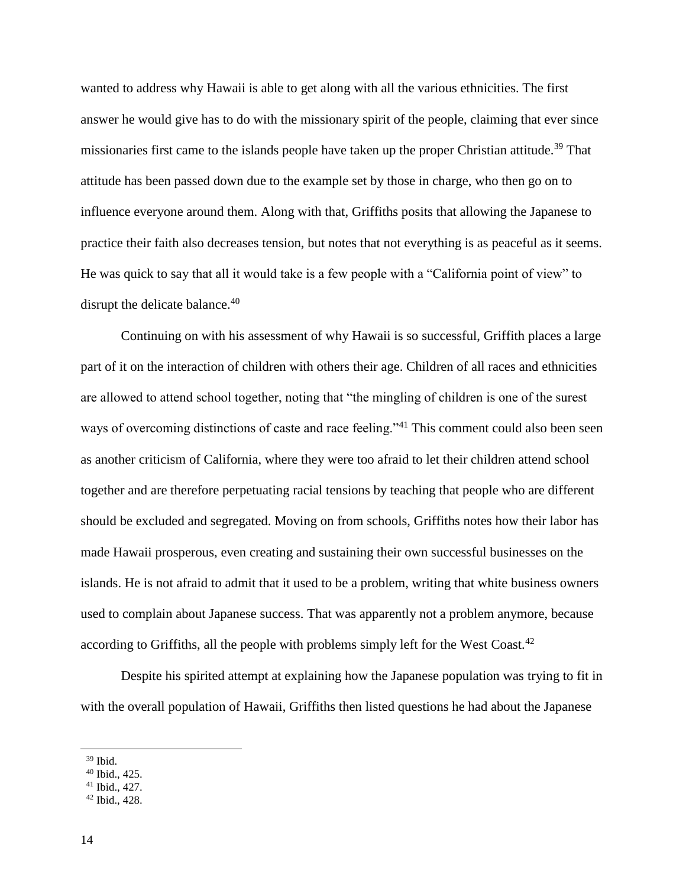wanted to address why Hawaii is able to get along with all the various ethnicities. The first answer he would give has to do with the missionary spirit of the people, claiming that ever since missionaries first came to the islands people have taken up the proper Christian attitude.<sup>39</sup> That attitude has been passed down due to the example set by those in charge, who then go on to influence everyone around them. Along with that, Griffiths posits that allowing the Japanese to practice their faith also decreases tension, but notes that not everything is as peaceful as it seems. He was quick to say that all it would take is a few people with a "California point of view" to disrupt the delicate balance.<sup>40</sup>

Continuing on with his assessment of why Hawaii is so successful, Griffith places a large part of it on the interaction of children with others their age. Children of all races and ethnicities are allowed to attend school together, noting that "the mingling of children is one of the surest ways of overcoming distinctions of caste and race feeling."<sup>41</sup> This comment could also been seen as another criticism of California, where they were too afraid to let their children attend school together and are therefore perpetuating racial tensions by teaching that people who are different should be excluded and segregated. Moving on from schools, Griffiths notes how their labor has made Hawaii prosperous, even creating and sustaining their own successful businesses on the islands. He is not afraid to admit that it used to be a problem, writing that white business owners used to complain about Japanese success. That was apparently not a problem anymore, because according to Griffiths, all the people with problems simply left for the West Coast.<sup>42</sup>

Despite his spirited attempt at explaining how the Japanese population was trying to fit in with the overall population of Hawaii, Griffiths then listed questions he had about the Japanese

<sup>39</sup> Ibid.

<sup>40</sup> Ibid., 425.

<sup>41</sup> Ibid., 427.

<sup>42</sup> Ibid., 428.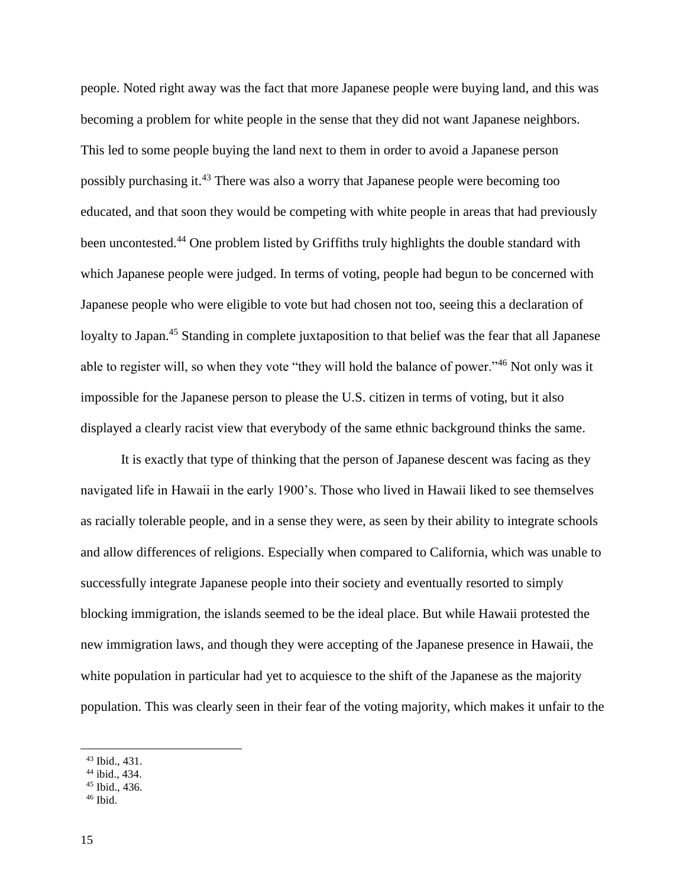people. Noted right away was the fact that more Japanese people were buying land, and this was becoming a problem for white people in the sense that they did not want Japanese neighbors. This led to some people buying the land next to them in order to avoid a Japanese person possibly purchasing it.<sup>43</sup> There was also a worry that Japanese people were becoming too educated, and that soon they would be competing with white people in areas that had previously been uncontested.<sup>44</sup> One problem listed by Griffiths truly highlights the double standard with which Japanese people were judged. In terms of voting, people had begun to be concerned with Japanese people who were eligible to vote but had chosen not too, seeing this a declaration of loyalty to Japan.<sup>45</sup> Standing in complete juxtaposition to that belief was the fear that all Japanese able to register will, so when they vote "they will hold the balance of power."<sup>46</sup> Not only was it impossible for the Japanese person to please the U.S. citizen in terms of voting, but it also displayed a clearly racist view that everybody of the same ethnic background thinks the same.

It is exactly that type of thinking that the person of Japanese descent was facing as they navigated life in Hawaii in the early 1900's. Those who lived in Hawaii liked to see themselves as racially tolerable people, and in a sense they were, as seen by their ability to integrate schools and allow differences of religions. Especially when compared to California, which was unable to successfully integrate Japanese people into their society and eventually resorted to simply blocking immigration, the islands seemed to be the ideal place. But while Hawaii protested the new immigration laws, and though they were accepting of the Japanese presence in Hawaii, the white population in particular had yet to acquiesce to the shift of the Japanese as the majority population. This was clearly seen in their fear of the voting majority, which makes it unfair to the

<sup>43</sup> Ibid., 431.

<sup>44</sup> ibid., 434.

 $45$  Ibid., 436.

 $46$  Ibid.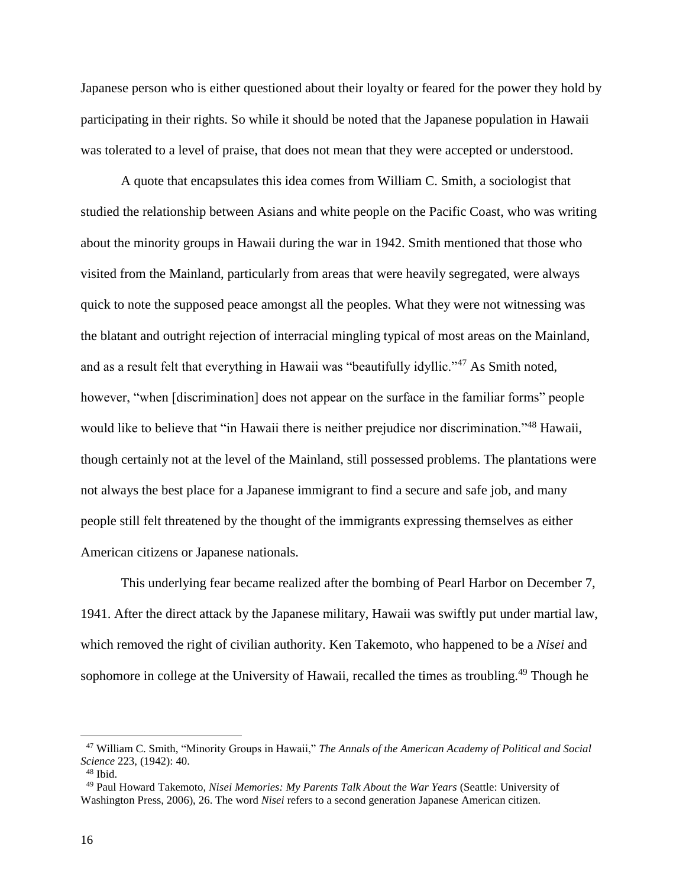Japanese person who is either questioned about their loyalty or feared for the power they hold by participating in their rights. So while it should be noted that the Japanese population in Hawaii was tolerated to a level of praise, that does not mean that they were accepted or understood.

A quote that encapsulates this idea comes from William C. Smith, a sociologist that studied the relationship between Asians and white people on the Pacific Coast, who was writing about the minority groups in Hawaii during the war in 1942. Smith mentioned that those who visited from the Mainland, particularly from areas that were heavily segregated, were always quick to note the supposed peace amongst all the peoples. What they were not witnessing was the blatant and outright rejection of interracial mingling typical of most areas on the Mainland, and as a result felt that everything in Hawaii was "beautifully idyllic."<sup>47</sup> As Smith noted, however, "when [discrimination] does not appear on the surface in the familiar forms" people would like to believe that "in Hawaii there is neither prejudice nor discrimination."<sup>48</sup> Hawaii, though certainly not at the level of the Mainland, still possessed problems. The plantations were not always the best place for a Japanese immigrant to find a secure and safe job, and many people still felt threatened by the thought of the immigrants expressing themselves as either American citizens or Japanese nationals.

This underlying fear became realized after the bombing of Pearl Harbor on December 7, 1941. After the direct attack by the Japanese military, Hawaii was swiftly put under martial law, which removed the right of civilian authority. Ken Takemoto, who happened to be a *Nisei* and sophomore in college at the University of Hawaii, recalled the times as troubling.<sup>49</sup> Though he

 $\overline{a}$ 

<sup>47</sup> William C. Smith, "Minority Groups in Hawaii," *The Annals of the American Academy of Political and Social Science* 223, (1942): 40.

<sup>48</sup> Ibid.

<sup>49</sup> Paul Howard Takemoto, *Nisei Memories: My Parents Talk About the War Years* (Seattle: University of Washington Press, 2006), 26. The word *Nisei* refers to a second generation Japanese American citizen.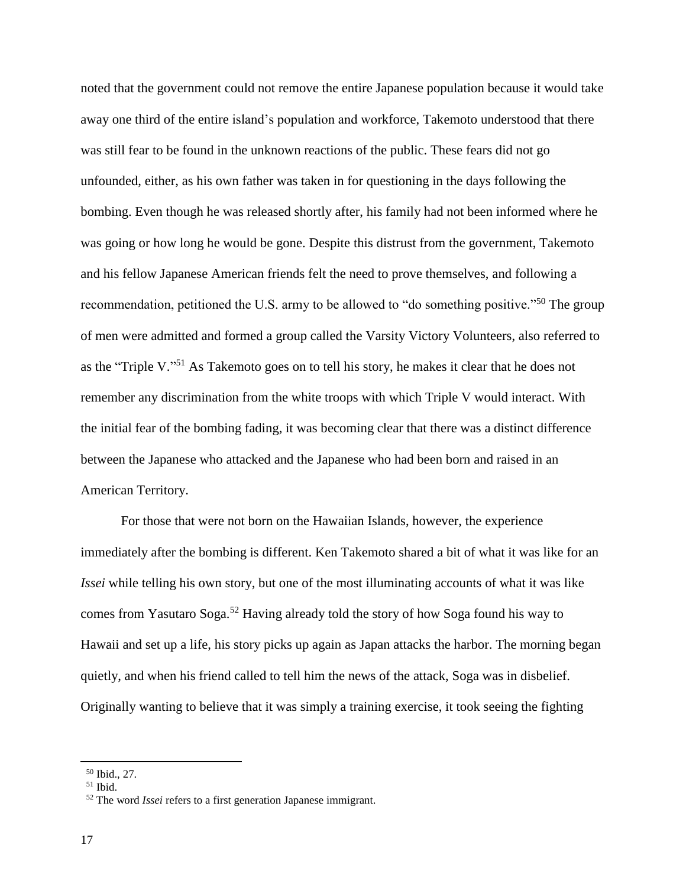noted that the government could not remove the entire Japanese population because it would take away one third of the entire island's population and workforce, Takemoto understood that there was still fear to be found in the unknown reactions of the public. These fears did not go unfounded, either, as his own father was taken in for questioning in the days following the bombing. Even though he was released shortly after, his family had not been informed where he was going or how long he would be gone. Despite this distrust from the government, Takemoto and his fellow Japanese American friends felt the need to prove themselves, and following a recommendation, petitioned the U.S. army to be allowed to "do something positive."<sup>50</sup> The group of men were admitted and formed a group called the Varsity Victory Volunteers, also referred to as the "Triple V."<sup>51</sup> As Takemoto goes on to tell his story, he makes it clear that he does not remember any discrimination from the white troops with which Triple V would interact. With the initial fear of the bombing fading, it was becoming clear that there was a distinct difference between the Japanese who attacked and the Japanese who had been born and raised in an American Territory.

For those that were not born on the Hawaiian Islands, however, the experience immediately after the bombing is different. Ken Takemoto shared a bit of what it was like for an *Issei* while telling his own story, but one of the most illuminating accounts of what it was like comes from Yasutaro Soga.<sup>52</sup> Having already told the story of how Soga found his way to Hawaii and set up a life, his story picks up again as Japan attacks the harbor. The morning began quietly, and when his friend called to tell him the news of the attack, Soga was in disbelief. Originally wanting to believe that it was simply a training exercise, it took seeing the fighting

<sup>50</sup> Ibid., 27.

 $51$  Ibid.

<sup>52</sup> The word *Issei* refers to a first generation Japanese immigrant.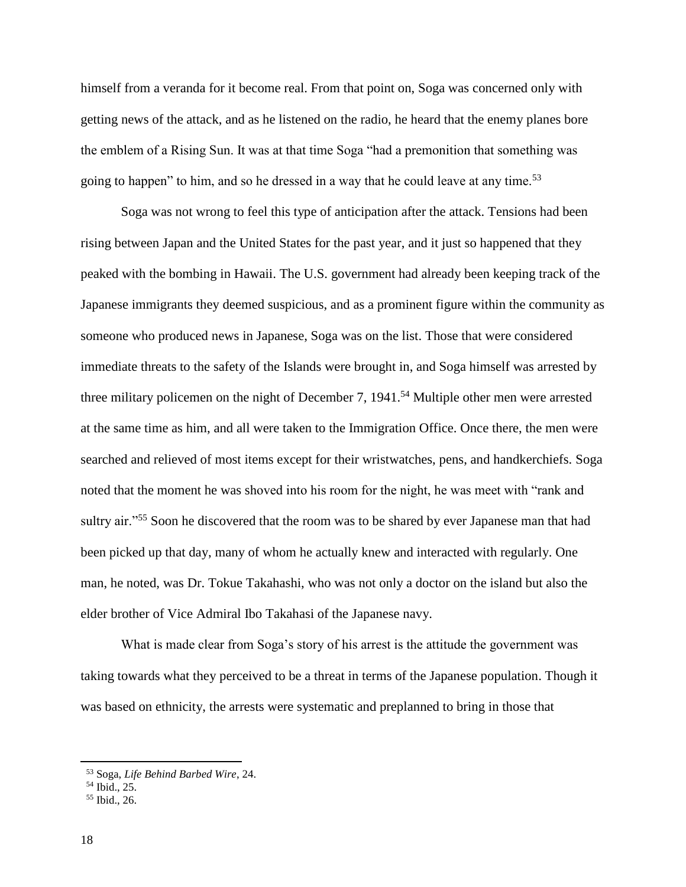himself from a veranda for it become real. From that point on, Soga was concerned only with getting news of the attack, and as he listened on the radio, he heard that the enemy planes bore the emblem of a Rising Sun. It was at that time Soga "had a premonition that something was going to happen" to him, and so he dressed in a way that he could leave at any time.<sup>53</sup>

Soga was not wrong to feel this type of anticipation after the attack. Tensions had been rising between Japan and the United States for the past year, and it just so happened that they peaked with the bombing in Hawaii. The U.S. government had already been keeping track of the Japanese immigrants they deemed suspicious, and as a prominent figure within the community as someone who produced news in Japanese, Soga was on the list. Those that were considered immediate threats to the safety of the Islands were brought in, and Soga himself was arrested by three military policemen on the night of December 7, 1941. <sup>54</sup> Multiple other men were arrested at the same time as him, and all were taken to the Immigration Office. Once there, the men were searched and relieved of most items except for their wristwatches, pens, and handkerchiefs. Soga noted that the moment he was shoved into his room for the night, he was meet with "rank and sultry air."<sup>55</sup> Soon he discovered that the room was to be shared by ever Japanese man that had been picked up that day, many of whom he actually knew and interacted with regularly. One man, he noted, was Dr. Tokue Takahashi, who was not only a doctor on the island but also the elder brother of Vice Admiral Ibo Takahasi of the Japanese navy.

What is made clear from Soga's story of his arrest is the attitude the government was taking towards what they perceived to be a threat in terms of the Japanese population. Though it was based on ethnicity, the arrests were systematic and preplanned to bring in those that

<sup>53</sup> Soga, *Life Behind Barbed Wire*, 24.

 $<sup>54</sup>$  Ibid.,  $25.$ </sup>

<sup>55</sup> Ibid., 26.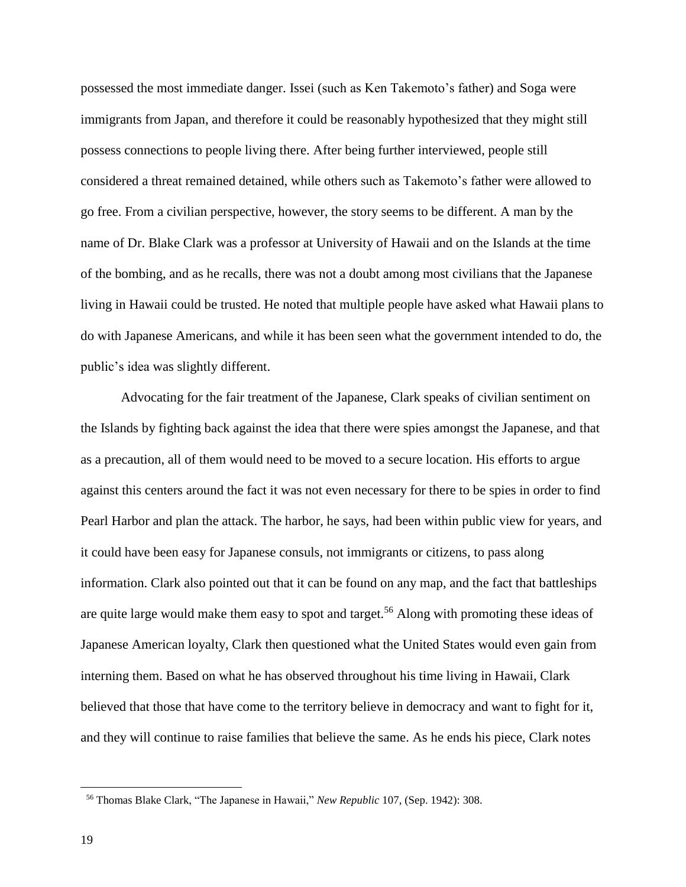possessed the most immediate danger. Issei (such as Ken Takemoto's father) and Soga were immigrants from Japan, and therefore it could be reasonably hypothesized that they might still possess connections to people living there. After being further interviewed, people still considered a threat remained detained, while others such as Takemoto's father were allowed to go free. From a civilian perspective, however, the story seems to be different. A man by the name of Dr. Blake Clark was a professor at University of Hawaii and on the Islands at the time of the bombing, and as he recalls, there was not a doubt among most civilians that the Japanese living in Hawaii could be trusted. He noted that multiple people have asked what Hawaii plans to do with Japanese Americans, and while it has been seen what the government intended to do, the public's idea was slightly different.

Advocating for the fair treatment of the Japanese, Clark speaks of civilian sentiment on the Islands by fighting back against the idea that there were spies amongst the Japanese, and that as a precaution, all of them would need to be moved to a secure location. His efforts to argue against this centers around the fact it was not even necessary for there to be spies in order to find Pearl Harbor and plan the attack. The harbor, he says, had been within public view for years, and it could have been easy for Japanese consuls, not immigrants or citizens, to pass along information. Clark also pointed out that it can be found on any map, and the fact that battleships are quite large would make them easy to spot and target.<sup>56</sup> Along with promoting these ideas of Japanese American loyalty, Clark then questioned what the United States would even gain from interning them. Based on what he has observed throughout his time living in Hawaii, Clark believed that those that have come to the territory believe in democracy and want to fight for it, and they will continue to raise families that believe the same. As he ends his piece, Clark notes

<sup>56</sup> Thomas Blake Clark, "The Japanese in Hawaii," *New Republic* 107, (Sep. 1942): 308.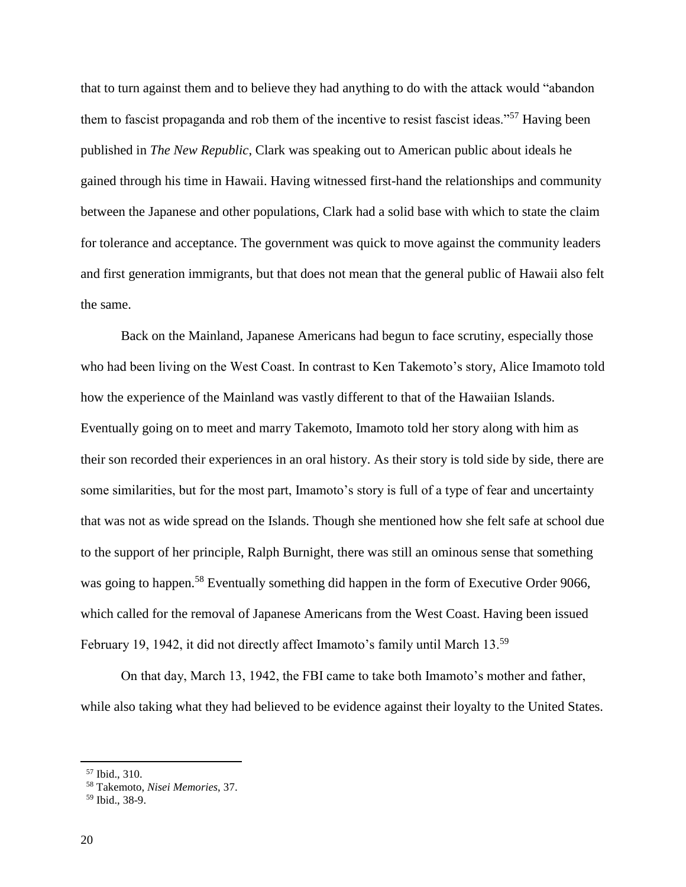that to turn against them and to believe they had anything to do with the attack would "abandon them to fascist propaganda and rob them of the incentive to resist fascist ideas."<sup>57</sup> Having been published in *The New Republic*, Clark was speaking out to American public about ideals he gained through his time in Hawaii. Having witnessed first-hand the relationships and community between the Japanese and other populations, Clark had a solid base with which to state the claim for tolerance and acceptance. The government was quick to move against the community leaders and first generation immigrants, but that does not mean that the general public of Hawaii also felt the same.

Back on the Mainland, Japanese Americans had begun to face scrutiny, especially those who had been living on the West Coast. In contrast to Ken Takemoto's story, Alice Imamoto told how the experience of the Mainland was vastly different to that of the Hawaiian Islands. Eventually going on to meet and marry Takemoto, Imamoto told her story along with him as their son recorded their experiences in an oral history. As their story is told side by side, there are some similarities, but for the most part, Imamoto's story is full of a type of fear and uncertainty that was not as wide spread on the Islands. Though she mentioned how she felt safe at school due to the support of her principle, Ralph Burnight, there was still an ominous sense that something was going to happen.<sup>58</sup> Eventually something did happen in the form of Executive Order 9066, which called for the removal of Japanese Americans from the West Coast. Having been issued February 19, 1942, it did not directly affect Imamoto's family until March 13.<sup>59</sup>

On that day, March 13, 1942, the FBI came to take both Imamoto's mother and father, while also taking what they had believed to be evidence against their loyalty to the United States.

<sup>57</sup> Ibid., 310.

<sup>58</sup> Takemoto, *Nisei Memories*, 37.

<sup>59</sup> Ibid., 38-9.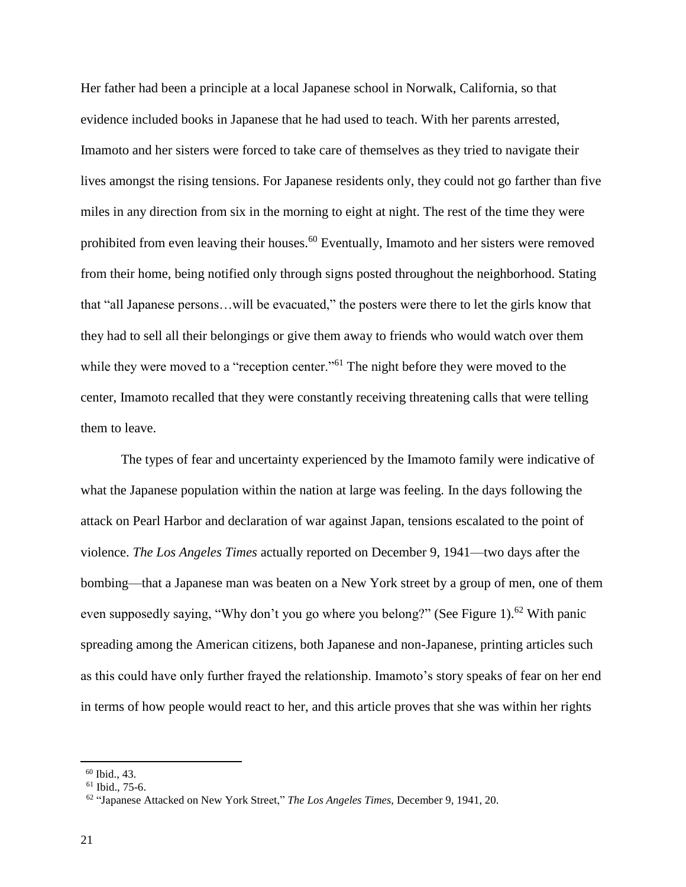Her father had been a principle at a local Japanese school in Norwalk, California, so that evidence included books in Japanese that he had used to teach. With her parents arrested, Imamoto and her sisters were forced to take care of themselves as they tried to navigate their lives amongst the rising tensions. For Japanese residents only, they could not go farther than five miles in any direction from six in the morning to eight at night. The rest of the time they were prohibited from even leaving their houses.<sup>60</sup> Eventually, Imamoto and her sisters were removed from their home, being notified only through signs posted throughout the neighborhood. Stating that "all Japanese persons…will be evacuated," the posters were there to let the girls know that they had to sell all their belongings or give them away to friends who would watch over them while they were moved to a "reception center."<sup>61</sup> The night before they were moved to the center, Imamoto recalled that they were constantly receiving threatening calls that were telling them to leave.

The types of fear and uncertainty experienced by the Imamoto family were indicative of what the Japanese population within the nation at large was feeling. In the days following the attack on Pearl Harbor and declaration of war against Japan, tensions escalated to the point of violence. *The Los Angeles Times* actually reported on December 9, 1941—two days after the bombing—that a Japanese man was beaten on a New York street by a group of men, one of them even supposedly saying, "Why don't you go where you belong?" (See Figure 1).<sup>62</sup> With panic spreading among the American citizens, both Japanese and non-Japanese, printing articles such as this could have only further frayed the relationship. Imamoto's story speaks of fear on her end in terms of how people would react to her, and this article proves that she was within her rights

<sup>60</sup> Ibid., 43.

 $61$  Ibid., 75-6.

<sup>62</sup> "Japanese Attacked on New York Street," *The Los Angeles Times*, December 9, 1941, 20.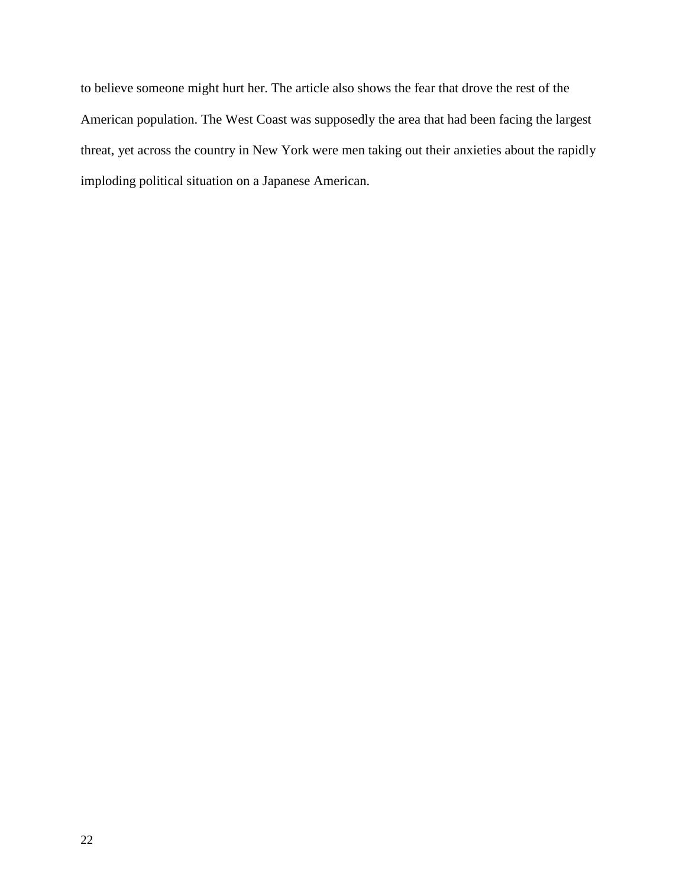to believe someone might hurt her. The article also shows the fear that drove the rest of the American population. The West Coast was supposedly the area that had been facing the largest threat, yet across the country in New York were men taking out their anxieties about the rapidly imploding political situation on a Japanese American.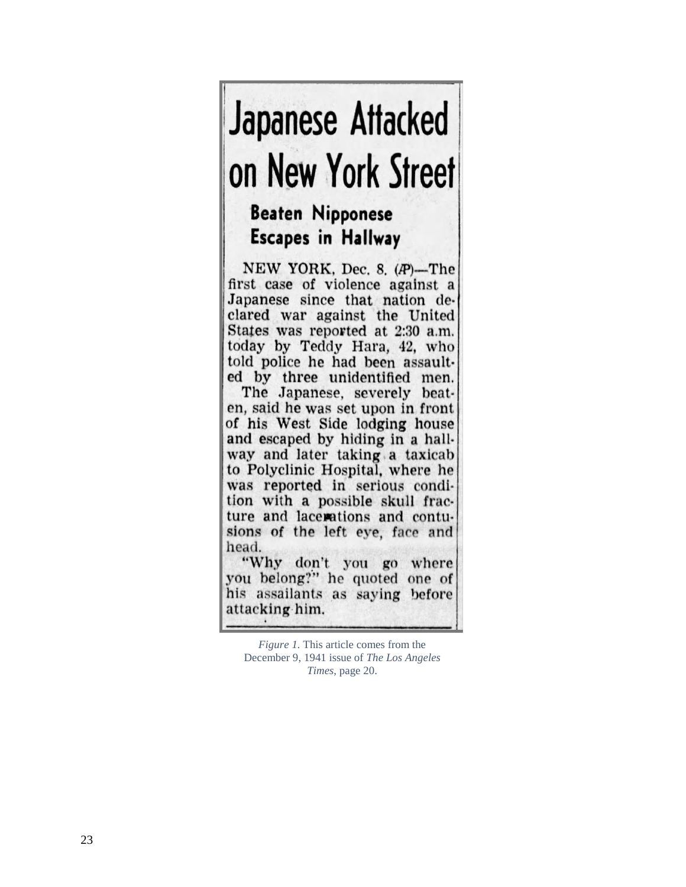# **Japanese Attacked** on New York Street

# **Beaten Nipponese Escapes in Hallway**

NEW YORK, Dec. 8, (P)-The first case of violence against a Japanese since that nation declared war against the United States was reported at 2:30 a.m. today by Teddy Hara, 42, who told police he had been assaulted by three unidentified men. The Japanese, severely beaten, said he was set upon in front of his West Side lodging house and escaped by hiding in a hallway and later taking a taxicab to Polyclinic Hospital, where he was reported in serious condition with a possible skull fracture and lacerations and contusions of the left eye, face and head.

"Why don't you go where you belong?" he quoted one of his assailants as saying before attacking him.

*Figure 1.* This article comes from the December 9, 1941 issue of *The Los Angeles Times*, page 20.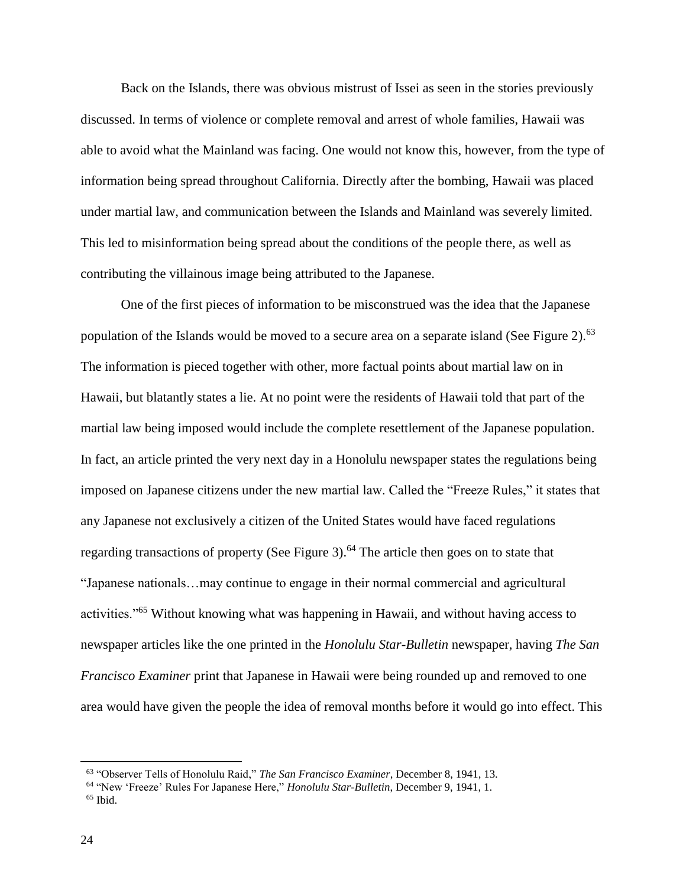Back on the Islands, there was obvious mistrust of Issei as seen in the stories previously discussed. In terms of violence or complete removal and arrest of whole families, Hawaii was able to avoid what the Mainland was facing. One would not know this, however, from the type of information being spread throughout California. Directly after the bombing, Hawaii was placed under martial law, and communication between the Islands and Mainland was severely limited. This led to misinformation being spread about the conditions of the people there, as well as contributing the villainous image being attributed to the Japanese.

One of the first pieces of information to be misconstrued was the idea that the Japanese population of the Islands would be moved to a secure area on a separate island (See Figure 2).<sup>63</sup> The information is pieced together with other, more factual points about martial law on in Hawaii, but blatantly states a lie. At no point were the residents of Hawaii told that part of the martial law being imposed would include the complete resettlement of the Japanese population. In fact, an article printed the very next day in a Honolulu newspaper states the regulations being imposed on Japanese citizens under the new martial law. Called the "Freeze Rules," it states that any Japanese not exclusively a citizen of the United States would have faced regulations regarding transactions of property (See Figure 3).<sup>64</sup> The article then goes on to state that "Japanese nationals…may continue to engage in their normal commercial and agricultural activities."<sup>65</sup> Without knowing what was happening in Hawaii, and without having access to newspaper articles like the one printed in the *Honolulu Star-Bulletin* newspaper, having *The San Francisco Examiner* print that Japanese in Hawaii were being rounded up and removed to one area would have given the people the idea of removal months before it would go into effect. This

<sup>63</sup> "Observer Tells of Honolulu Raid," *The San Francisco Examiner*, December 8, 1941, 13.

<sup>64</sup> "New 'Freeze' Rules For Japanese Here," *Honolulu Star-Bulletin*, December 9, 1941, 1.

 $65$  Ibid.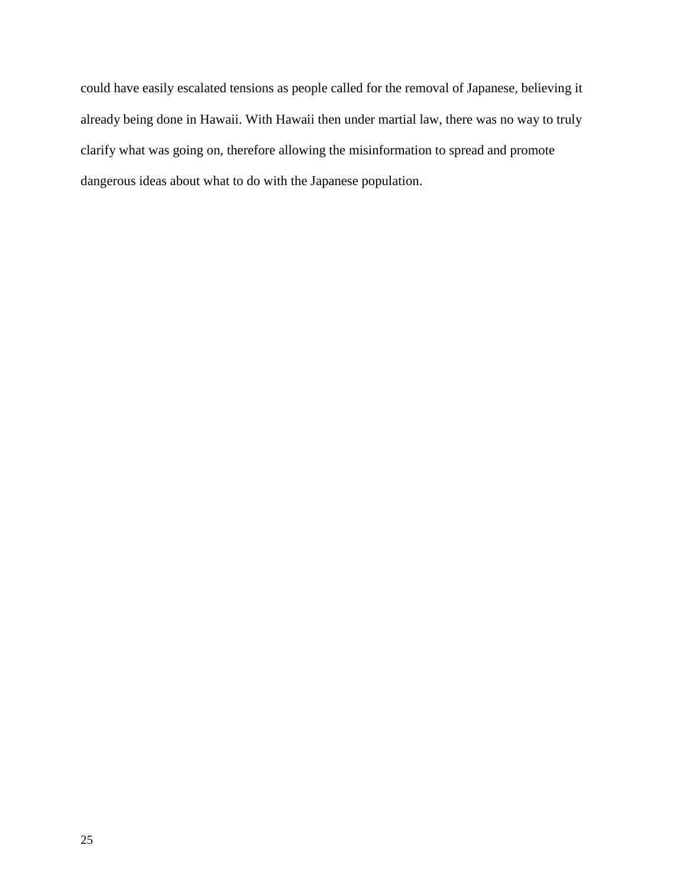could have easily escalated tensions as people called for the removal of Japanese, believing it already being done in Hawaii. With Hawaii then under martial law, there was no way to truly clarify what was going on, therefore allowing the misinformation to spread and promote dangerous ideas about what to do with the Japanese population.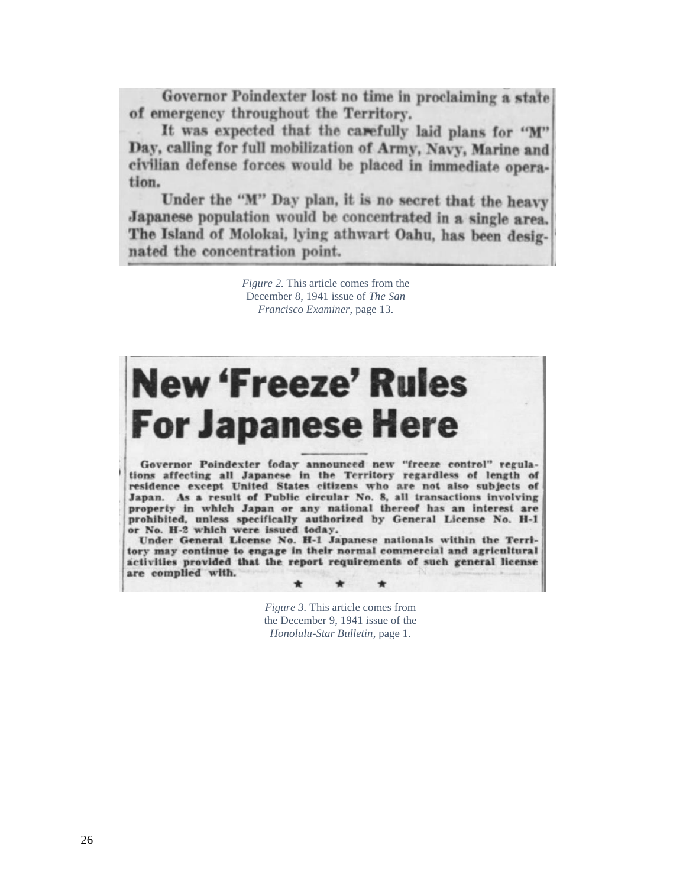Governor Poindexter lost no time in proclaiming a state of emergency throughout the Territory.

It was expected that the carefully laid plans for "M" Day, calling for full mobilization of Army, Navy, Marine and civilian defense forces would be placed in immediate operation.

Under the "M" Day plan, it is no secret that the heavy Japanese population would be concentrated in a single area. The Island of Molokai, lying athwart Oahu, has been designated the concentration point.

> *Figure 2.* This article comes from the December 8, 1941 issue of *The San Francisco Examiner*, page 13.



*Figure 3.* This article comes from the December 9, 1941 issue of the *Honolulu-Star Bulletin*, page 1.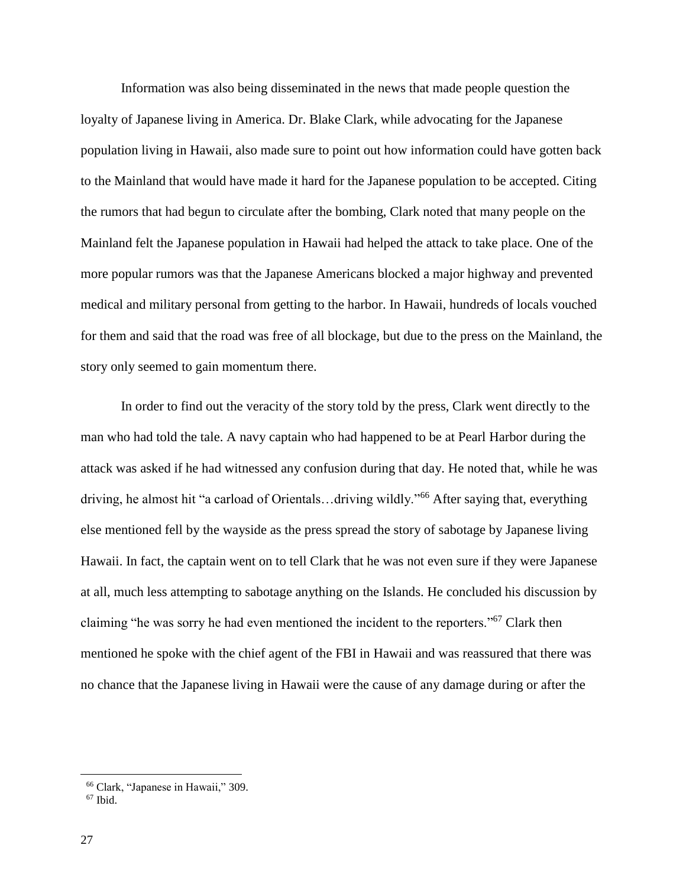Information was also being disseminated in the news that made people question the loyalty of Japanese living in America. Dr. Blake Clark, while advocating for the Japanese population living in Hawaii, also made sure to point out how information could have gotten back to the Mainland that would have made it hard for the Japanese population to be accepted. Citing the rumors that had begun to circulate after the bombing, Clark noted that many people on the Mainland felt the Japanese population in Hawaii had helped the attack to take place. One of the more popular rumors was that the Japanese Americans blocked a major highway and prevented medical and military personal from getting to the harbor. In Hawaii, hundreds of locals vouched for them and said that the road was free of all blockage, but due to the press on the Mainland, the story only seemed to gain momentum there.

In order to find out the veracity of the story told by the press, Clark went directly to the man who had told the tale. A navy captain who had happened to be at Pearl Harbor during the attack was asked if he had witnessed any confusion during that day. He noted that, while he was driving, he almost hit "a carload of Orientals…driving wildly."<sup>66</sup> After saying that, everything else mentioned fell by the wayside as the press spread the story of sabotage by Japanese living Hawaii. In fact, the captain went on to tell Clark that he was not even sure if they were Japanese at all, much less attempting to sabotage anything on the Islands. He concluded his discussion by claiming "he was sorry he had even mentioned the incident to the reporters."<sup>67</sup> Clark then mentioned he spoke with the chief agent of the FBI in Hawaii and was reassured that there was no chance that the Japanese living in Hawaii were the cause of any damage during or after the

<sup>66</sup> Clark, "Japanese in Hawaii," 309.

 $67$  Ibid.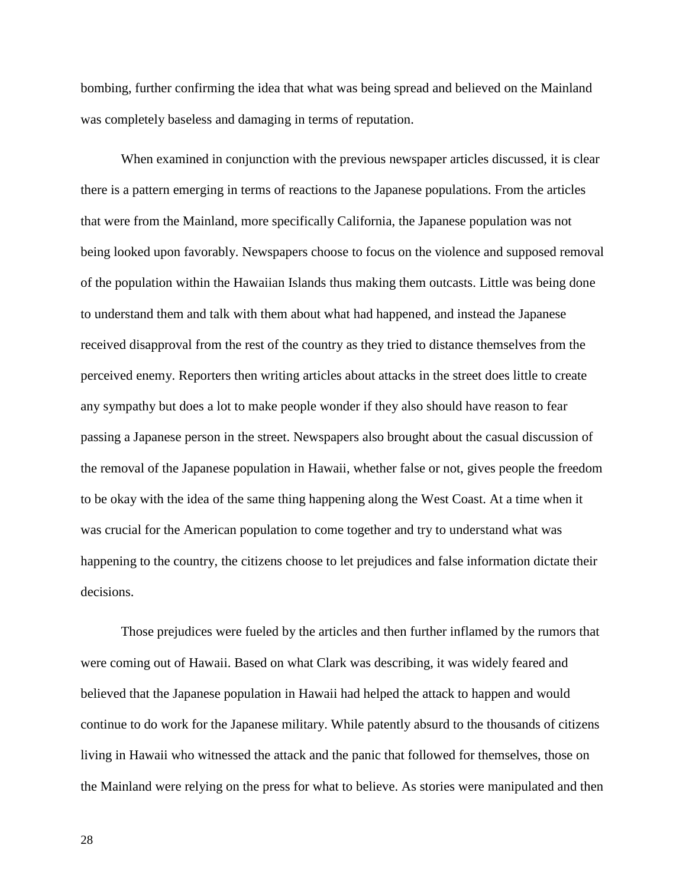bombing, further confirming the idea that what was being spread and believed on the Mainland was completely baseless and damaging in terms of reputation.

When examined in conjunction with the previous newspaper articles discussed, it is clear there is a pattern emerging in terms of reactions to the Japanese populations. From the articles that were from the Mainland, more specifically California, the Japanese population was not being looked upon favorably. Newspapers choose to focus on the violence and supposed removal of the population within the Hawaiian Islands thus making them outcasts. Little was being done to understand them and talk with them about what had happened, and instead the Japanese received disapproval from the rest of the country as they tried to distance themselves from the perceived enemy. Reporters then writing articles about attacks in the street does little to create any sympathy but does a lot to make people wonder if they also should have reason to fear passing a Japanese person in the street. Newspapers also brought about the casual discussion of the removal of the Japanese population in Hawaii, whether false or not, gives people the freedom to be okay with the idea of the same thing happening along the West Coast. At a time when it was crucial for the American population to come together and try to understand what was happening to the country, the citizens choose to let prejudices and false information dictate their decisions.

Those prejudices were fueled by the articles and then further inflamed by the rumors that were coming out of Hawaii. Based on what Clark was describing, it was widely feared and believed that the Japanese population in Hawaii had helped the attack to happen and would continue to do work for the Japanese military. While patently absurd to the thousands of citizens living in Hawaii who witnessed the attack and the panic that followed for themselves, those on the Mainland were relying on the press for what to believe. As stories were manipulated and then

28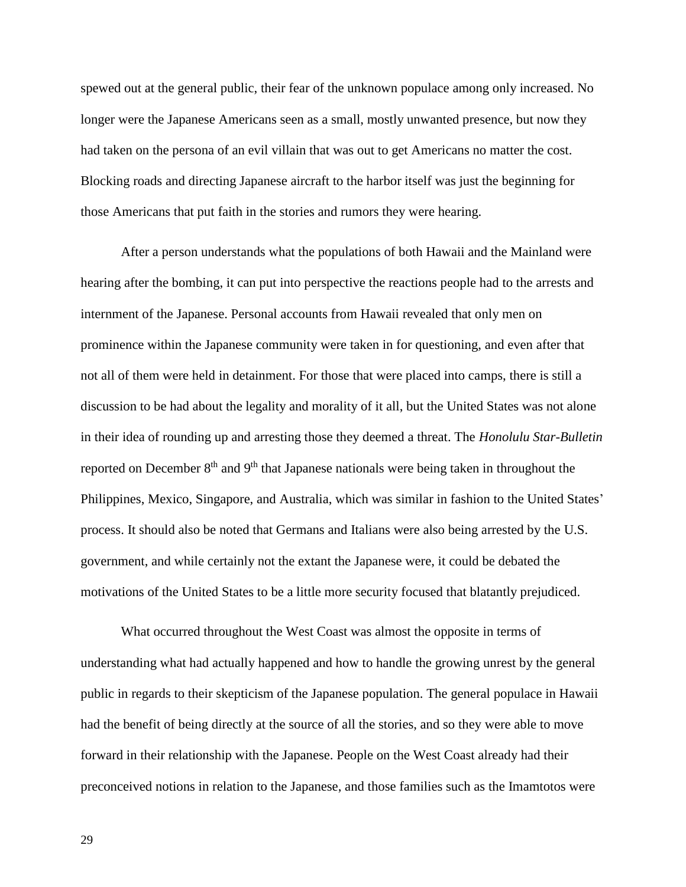spewed out at the general public, their fear of the unknown populace among only increased. No longer were the Japanese Americans seen as a small, mostly unwanted presence, but now they had taken on the persona of an evil villain that was out to get Americans no matter the cost. Blocking roads and directing Japanese aircraft to the harbor itself was just the beginning for those Americans that put faith in the stories and rumors they were hearing.

After a person understands what the populations of both Hawaii and the Mainland were hearing after the bombing, it can put into perspective the reactions people had to the arrests and internment of the Japanese. Personal accounts from Hawaii revealed that only men on prominence within the Japanese community were taken in for questioning, and even after that not all of them were held in detainment. For those that were placed into camps, there is still a discussion to be had about the legality and morality of it all, but the United States was not alone in their idea of rounding up and arresting those they deemed a threat. The *Honolulu Star-Bulletin*  reported on December  $8<sup>th</sup>$  and  $9<sup>th</sup>$  that Japanese nationals were being taken in throughout the Philippines, Mexico, Singapore, and Australia, which was similar in fashion to the United States' process. It should also be noted that Germans and Italians were also being arrested by the U.S. government, and while certainly not the extant the Japanese were, it could be debated the motivations of the United States to be a little more security focused that blatantly prejudiced.

What occurred throughout the West Coast was almost the opposite in terms of understanding what had actually happened and how to handle the growing unrest by the general public in regards to their skepticism of the Japanese population. The general populace in Hawaii had the benefit of being directly at the source of all the stories, and so they were able to move forward in their relationship with the Japanese. People on the West Coast already had their preconceived notions in relation to the Japanese, and those families such as the Imamtotos were

29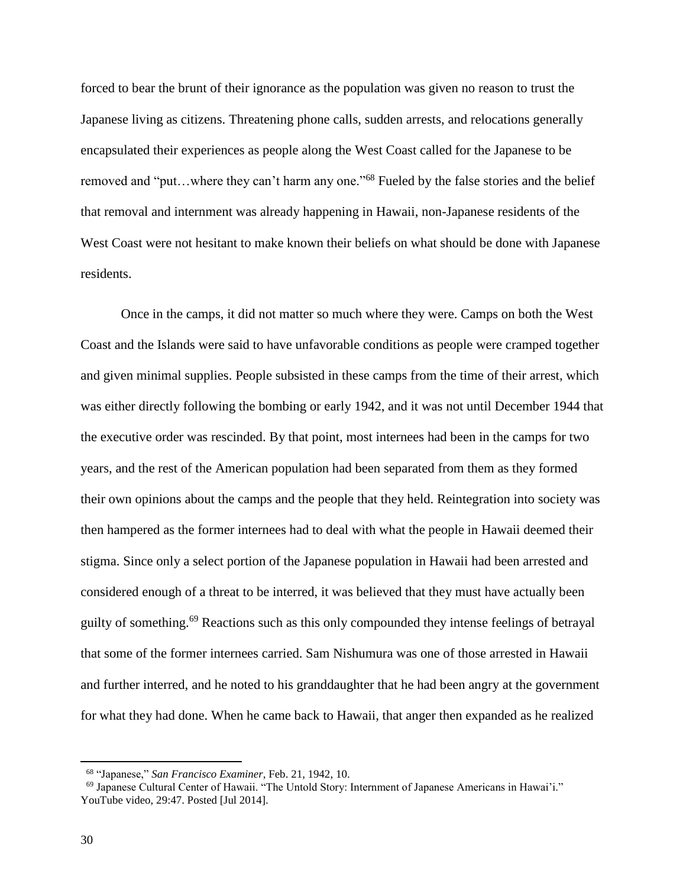forced to bear the brunt of their ignorance as the population was given no reason to trust the Japanese living as citizens. Threatening phone calls, sudden arrests, and relocations generally encapsulated their experiences as people along the West Coast called for the Japanese to be removed and "put...where they can't harm any one."<sup>68</sup> Fueled by the false stories and the belief that removal and internment was already happening in Hawaii, non-Japanese residents of the West Coast were not hesitant to make known their beliefs on what should be done with Japanese residents.

Once in the camps, it did not matter so much where they were. Camps on both the West Coast and the Islands were said to have unfavorable conditions as people were cramped together and given minimal supplies. People subsisted in these camps from the time of their arrest, which was either directly following the bombing or early 1942, and it was not until December 1944 that the executive order was rescinded. By that point, most internees had been in the camps for two years, and the rest of the American population had been separated from them as they formed their own opinions about the camps and the people that they held. Reintegration into society was then hampered as the former internees had to deal with what the people in Hawaii deemed their stigma. Since only a select portion of the Japanese population in Hawaii had been arrested and considered enough of a threat to be interred, it was believed that they must have actually been guilty of something.<sup>69</sup> Reactions such as this only compounded they intense feelings of betrayal that some of the former internees carried. Sam Nishumura was one of those arrested in Hawaii and further interred, and he noted to his granddaughter that he had been angry at the government for what they had done. When he came back to Hawaii, that anger then expanded as he realized

<sup>68</sup> "Japanese," *San Francisco Examiner*, Feb. 21, 1942, 10.

<sup>69</sup> Japanese Cultural Center of Hawaii. "The Untold Story: Internment of Japanese Americans in Hawai'i." YouTube video, 29:47. Posted [Jul 2014].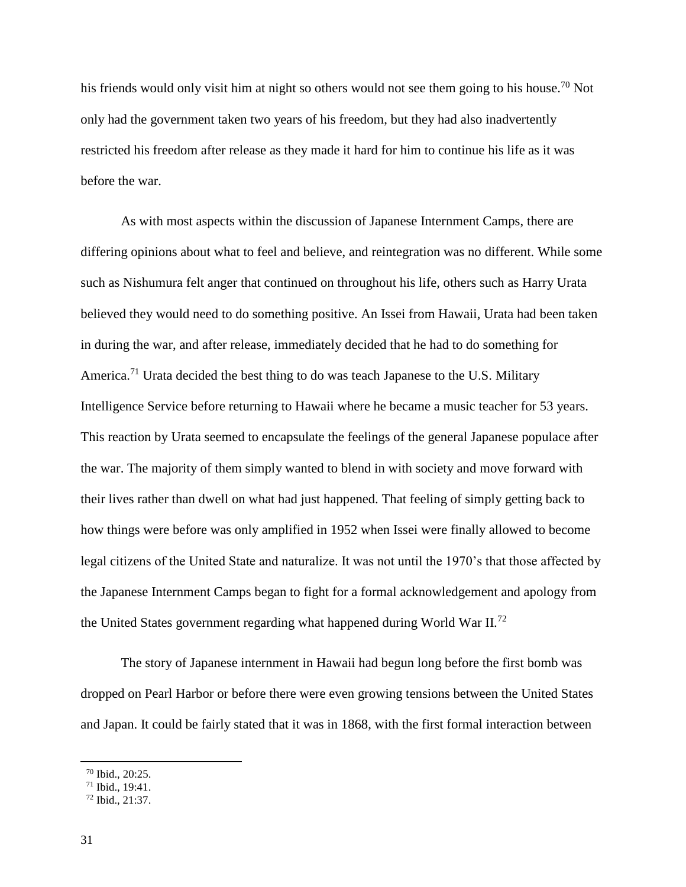his friends would only visit him at night so others would not see them going to his house.<sup>70</sup> Not only had the government taken two years of his freedom, but they had also inadvertently restricted his freedom after release as they made it hard for him to continue his life as it was before the war.

As with most aspects within the discussion of Japanese Internment Camps, there are differing opinions about what to feel and believe, and reintegration was no different. While some such as Nishumura felt anger that continued on throughout his life, others such as Harry Urata believed they would need to do something positive. An Issei from Hawaii, Urata had been taken in during the war, and after release, immediately decided that he had to do something for America.<sup>71</sup> Urata decided the best thing to do was teach Japanese to the U.S. Military Intelligence Service before returning to Hawaii where he became a music teacher for 53 years. This reaction by Urata seemed to encapsulate the feelings of the general Japanese populace after the war. The majority of them simply wanted to blend in with society and move forward with their lives rather than dwell on what had just happened. That feeling of simply getting back to how things were before was only amplified in 1952 when Issei were finally allowed to become legal citizens of the United State and naturalize. It was not until the 1970's that those affected by the Japanese Internment Camps began to fight for a formal acknowledgement and apology from the United States government regarding what happened during World War II.<sup>72</sup>

The story of Japanese internment in Hawaii had begun long before the first bomb was dropped on Pearl Harbor or before there were even growing tensions between the United States and Japan. It could be fairly stated that it was in 1868, with the first formal interaction between

<sup>70</sup> Ibid., 20:25.

<sup>71</sup> Ibid., 19:41.

<sup>72</sup> Ibid., 21:37.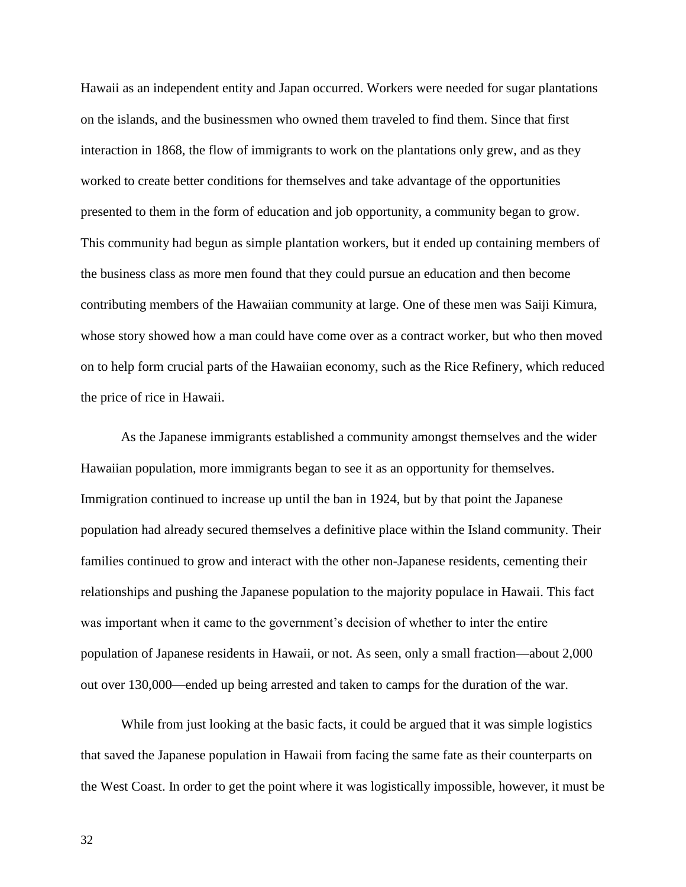Hawaii as an independent entity and Japan occurred. Workers were needed for sugar plantations on the islands, and the businessmen who owned them traveled to find them. Since that first interaction in 1868, the flow of immigrants to work on the plantations only grew, and as they worked to create better conditions for themselves and take advantage of the opportunities presented to them in the form of education and job opportunity, a community began to grow. This community had begun as simple plantation workers, but it ended up containing members of the business class as more men found that they could pursue an education and then become contributing members of the Hawaiian community at large. One of these men was Saiji Kimura, whose story showed how a man could have come over as a contract worker, but who then moved on to help form crucial parts of the Hawaiian economy, such as the Rice Refinery, which reduced the price of rice in Hawaii.

As the Japanese immigrants established a community amongst themselves and the wider Hawaiian population, more immigrants began to see it as an opportunity for themselves. Immigration continued to increase up until the ban in 1924, but by that point the Japanese population had already secured themselves a definitive place within the Island community. Their families continued to grow and interact with the other non-Japanese residents, cementing their relationships and pushing the Japanese population to the majority populace in Hawaii. This fact was important when it came to the government's decision of whether to inter the entire population of Japanese residents in Hawaii, or not. As seen, only a small fraction—about 2,000 out over 130,000—ended up being arrested and taken to camps for the duration of the war.

While from just looking at the basic facts, it could be argued that it was simple logistics that saved the Japanese population in Hawaii from facing the same fate as their counterparts on the West Coast. In order to get the point where it was logistically impossible, however, it must be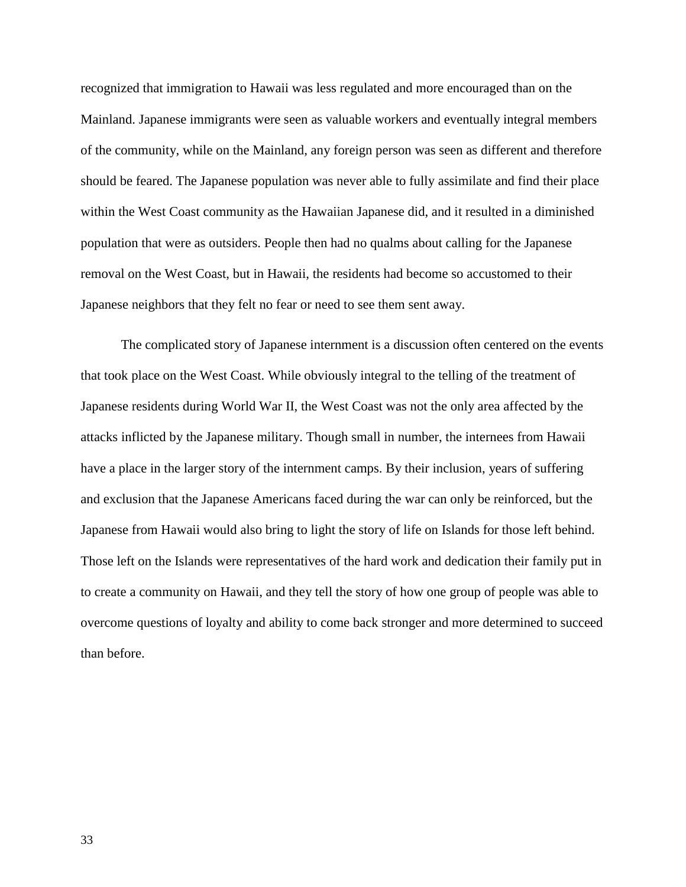recognized that immigration to Hawaii was less regulated and more encouraged than on the Mainland. Japanese immigrants were seen as valuable workers and eventually integral members of the community, while on the Mainland, any foreign person was seen as different and therefore should be feared. The Japanese population was never able to fully assimilate and find their place within the West Coast community as the Hawaiian Japanese did, and it resulted in a diminished population that were as outsiders. People then had no qualms about calling for the Japanese removal on the West Coast, but in Hawaii, the residents had become so accustomed to their Japanese neighbors that they felt no fear or need to see them sent away.

The complicated story of Japanese internment is a discussion often centered on the events that took place on the West Coast. While obviously integral to the telling of the treatment of Japanese residents during World War II, the West Coast was not the only area affected by the attacks inflicted by the Japanese military. Though small in number, the internees from Hawaii have a place in the larger story of the internment camps. By their inclusion, years of suffering and exclusion that the Japanese Americans faced during the war can only be reinforced, but the Japanese from Hawaii would also bring to light the story of life on Islands for those left behind. Those left on the Islands were representatives of the hard work and dedication their family put in to create a community on Hawaii, and they tell the story of how one group of people was able to overcome questions of loyalty and ability to come back stronger and more determined to succeed than before.